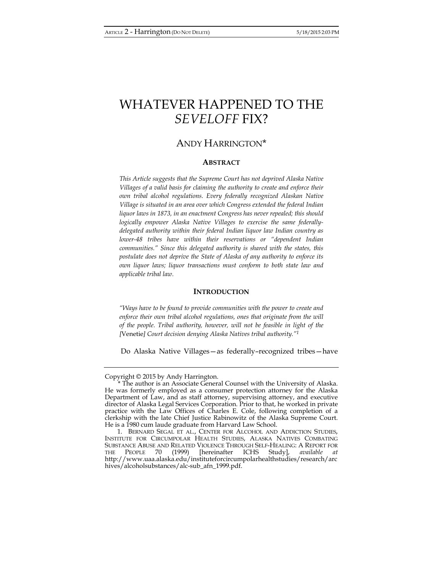# WHATEVER HAPPENED TO THE *SEVELOFF* FIX?

## ANDY HARRINGTON\*

## **ABSTRACT**

*This Article suggests that the Supreme Court has not deprived Alaska Native Villages of a valid basis for claiming the authority to create and enforce their own tribal alcohol regulations. Every federally recognized Alaskan Native Village is situated in an area over which Congress extended the federal Indian liquor laws in 1873, in an enactment Congress has never repealed; this should logically empower Alaska Native Villages to exercise the same federallydelegated authority within their federal Indian liquor law Indian country as lower-48 tribes have within their reservations or "dependent Indian communities." Since this delegated authority is shared with the states, this postulate does not deprive the State of Alaska of any authority to enforce its own liquor laws; liquor transactions must conform to both state law and applicable tribal law.* 

#### **INTRODUCTION**

*"Ways have to be found to provide communities with the power to create and*  enforce their own tribal alcohol regulations, ones that originate from the will *of the people. Tribal authority, however, will not be feasible in light of the [*Venetie*] Court decision denying Alaska Natives tribal authority."1*

Do Alaska Native Villages—as federally–recognized tribes—have

Copyright © 2015 by Andy Harrington.

<sup>\*</sup> The author is an Associate General Counsel with the University of Alaska. He was formerly employed as a consumer protection attorney for the Alaska Department of Law, and as staff attorney, supervising attorney, and executive director of Alaska Legal Services Corporation. Prior to that, he worked in private practice with the Law Offices of Charles E. Cole, following completion of a clerkship with the late Chief Justice Rabinowitz of the Alaska Supreme Court. He is a 1980 cum laude graduate from Harvard Law School.

 <sup>1.</sup> BERNARD SEGAL ET AL., CENTER FOR ALCOHOL AND ADDICTION STUDIES, INSTITUTE FOR CIRCUMPOLAR HEALTH STUDIES, ALASKA NATIVES COMBATING SUBSTANCE ABUSE AND RELATED VIOLENCE THROUGH SELF-HEALING: A REPORT FOR THE PEOPLE 70 (1999) [hereinafter ICHS Study], *available at*  http://www.uaa.alaska.edu/instituteforcircumpolarhealthstudies/research/arc hives/alcoholsubstances/alc-sub\_afn\_1999.pdf.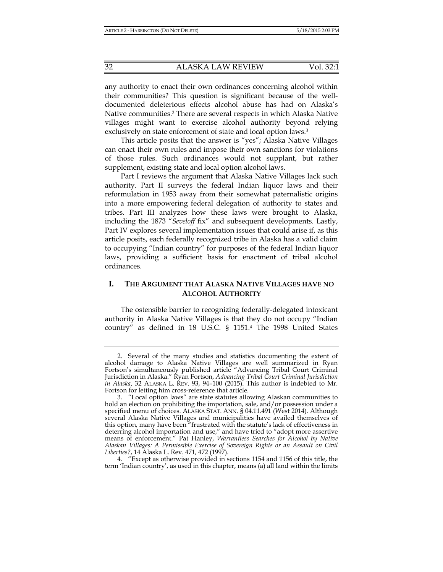any authority to enact their own ordinances concerning alcohol within their communities? This question is significant because of the welldocumented deleterious effects alcohol abuse has had on Alaska's Native communities.2 There are several respects in which Alaska Native villages might want to exercise alcohol authority beyond relying exclusively on state enforcement of state and local option laws.3

This article posits that the answer is "yes"; Alaska Native Villages can enact their own rules and impose their own sanctions for violations of those rules. Such ordinances would not supplant, but rather supplement, existing state and local option alcohol laws.

Part I reviews the argument that Alaska Native Villages lack such authority. Part II surveys the federal Indian liquor laws and their reformulation in 1953 away from their somewhat paternalistic origins into a more empowering federal delegation of authority to states and tribes. Part III analyzes how these laws were brought to Alaska, including the 1873 "*Seveloff* fix" and subsequent developments. Lastly, Part IV explores several implementation issues that could arise if, as this article posits, each federally recognized tribe in Alaska has a valid claim to occupying "Indian country" for purposes of the federal Indian liquor laws, providing a sufficient basis for enactment of tribal alcohol ordinances.

## **I. THE ARGUMENT THAT ALASKA NATIVE VILLAGES HAVE NO ALCOHOL AUTHORITY**

The ostensible barrier to recognizing federally-delegated intoxicant authority in Alaska Native Villages is that they do not occupy "Indian country" as defined in 18 U.S.C. § 1151.4 The 1998 United States

 <sup>2.</sup> Several of the many studies and statistics documenting the extent of alcohol damage to Alaska Native Villages are well summarized in Ryan Fortson's simultaneously published article "Advancing Tribal Court Criminal Jurisdiction in Alaska." Ryan Fortson, *Advancing Tribal Court Criminal Jurisdiction in Alaska*, 32 ALASKA L. REV. 93, 94–100 (2015). This author is indebted to Mr. Fortson for letting him cross-reference that article.

 <sup>3. &</sup>quot;Local option laws" are state statutes allowing Alaskan communities to hold an election on prohibiting the importation, sale, and/or possession under a specified menu of choices. ALASKA STAT. ANN. § 04.11.491 (West 2014). Although several Alaska Native Villages and municipalities have availed themselves of this option, many have been "frustrated with the statute's lack of effectiveness in deterring alcohol importation and use," and have tried to "adopt more assertive means of enforcement." Pat Hanley, *Warrantless Searches for Alcohol by Native Alaskan Villages: A Permissible Exercise of Sovereign Rights or an Assault on Civil Liberties?*, 14 Alaska L. Rev. 471, 472 (1997).

 <sup>4. &</sup>quot;Except as otherwise provided in sections 1154 and 1156 of this title, the term 'Indian country', as used in this chapter, means (a) all land within the limits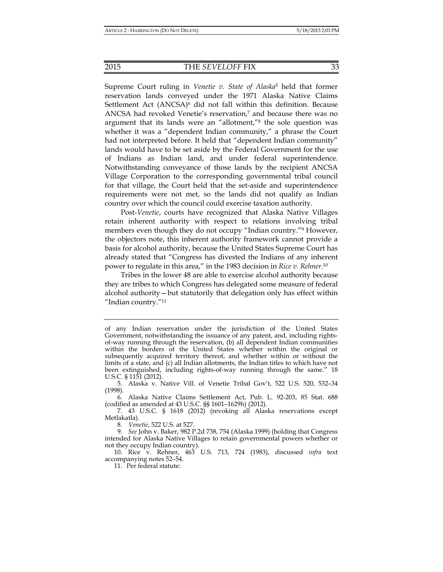#### 2015 THE *SEVELOFF* FIX 33

Supreme Court ruling in *Venetie v. State of Alaska*5 held that former reservation lands conveyed under the 1971 Alaska Native Claims Settlement Act  $(ANCSA)^6$  did not fall within this definition. Because ANCSA had revoked Venetie's reservation,7 and because there was no argument that its lands were an "allotment,"8 the sole question was whether it was a "dependent Indian community," a phrase the Court had not interpreted before. It held that "dependent Indian community" lands would have to be set aside by the Federal Government for the use of Indians as Indian land, and under federal superintendence. Notwithstanding conveyance of those lands by the recipient ANCSA Village Corporation to the corresponding governmental tribal council for that village, the Court held that the set-aside and superintendence requirements were not met, so the lands did not qualify as Indian country over which the council could exercise taxation authority.

Post-*Venetie*, courts have recognized that Alaska Native Villages retain inherent authority with respect to relations involving tribal members even though they do not occupy "Indian country."<sup>9</sup> However, the objectors note, this inherent authority framework cannot provide a basis for alcohol authority, because the United States Supreme Court has already stated that "Congress has divested the Indians of any inherent power to regulate in this area," in the 1983 decision in *Rice v. Rehner*.10

Tribes in the lower 48 are able to exercise alcohol authority because they are tribes to which Congress has delegated some measure of federal alcohol authority—but statutorily that delegation only has effect within "Indian country."11

of any Indian reservation under the jurisdiction of the United States Government, notwithstanding the issuance of any patent, and, including rightsof-way running through the reservation, (b) all dependent Indian communities within the borders of the United States whether within the original or subsequently acquired territory thereof, and whether within or without the limits of a state, and (c) all Indian allotments, the Indian titles to which have not been extinguished, including rights-of-way running through the same." 18 U.S.C. § 1151 (2012).

 <sup>5.</sup> Alaska v. Native Vill. of Venetie Tribal Gov't, 522 U.S. 520, 532–34 (1998).

 <sup>6.</sup> Alaska Native Claims Settlement Act, Pub. L. 92-203, 85 Stat. 688 (codified as amended at 43 U.S.C. §§ 1601–1629h) (2012).

 <sup>7. 43</sup> U.S.C. § 1618 (2012) (revoking all Alaska reservations except Metlakatla).

 <sup>8.</sup> *Venetie*, 522 U.S. at 527.

 <sup>9.</sup> *See* John v. Baker, 982 P.2d 738, 754 (Alaska 1999) (holding that Congress intended for Alaska Native Villages to retain governmental powers whether or not they occupy Indian country).

 <sup>10.</sup> Rice v. Rehner, 463 U.S. 713, 724 (1983), discussed *infra* text accompanying notes 52–54.

 <sup>11.</sup> Per federal statute: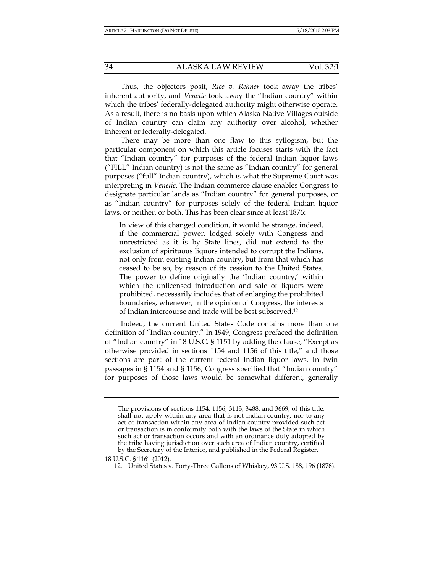Thus, the objectors posit, *Rice v. Rehner* took away the tribes' inherent authority, and *Venetie* took away the "Indian country" within which the tribes' federally-delegated authority might otherwise operate. As a result, there is no basis upon which Alaska Native Villages outside of Indian country can claim any authority over alcohol, whether inherent or federally-delegated.

There may be more than one flaw to this syllogism, but the particular component on which this article focuses starts with the fact that "Indian country" for purposes of the federal Indian liquor laws ("FILL" Indian country) is not the same as "Indian country" for general purposes ("full" Indian country), which is what the Supreme Court was interpreting in *Venetie*. The Indian commerce clause enables Congress to designate particular lands as "Indian country" for general purposes, or as "Indian country" for purposes solely of the federal Indian liquor laws, or neither, or both. This has been clear since at least 1876:

In view of this changed condition, it would be strange, indeed, if the commercial power, lodged solely with Congress and unrestricted as it is by State lines, did not extend to the exclusion of spirituous liquors intended to corrupt the Indians, not only from existing Indian country, but from that which has ceased to be so, by reason of its cession to the United States. The power to define originally the 'Indian country,' within which the unlicensed introduction and sale of liquors were prohibited, necessarily includes that of enlarging the prohibited boundaries, whenever, in the opinion of Congress, the interests of Indian intercourse and trade will be best subserved.12

Indeed, the current United States Code contains more than one definition of "Indian country." In 1949, Congress prefaced the definition of "Indian country" in 18 U.S.C. § 1151 by adding the clause, "Except as otherwise provided in sections 1154 and 1156 of this title," and those sections are part of the current federal Indian liquor laws. In twin passages in § 1154 and § 1156, Congress specified that "Indian country" for purposes of those laws would be somewhat different, generally

18 U.S.C. § 1161 (2012).

12. United States v. Forty-Three Gallons of Whiskey, 93 U.S. 188, 196 (1876).

The provisions of sections 1154, 1156, 3113, 3488, and 3669, of this title, shall not apply within any area that is not Indian country, nor to any act or transaction within any area of Indian country provided such act or transaction is in conformity both with the laws of the State in which such act or transaction occurs and with an ordinance duly adopted by the tribe having jurisdiction over such area of Indian country, certified by the Secretary of the Interior, and published in the Federal Register.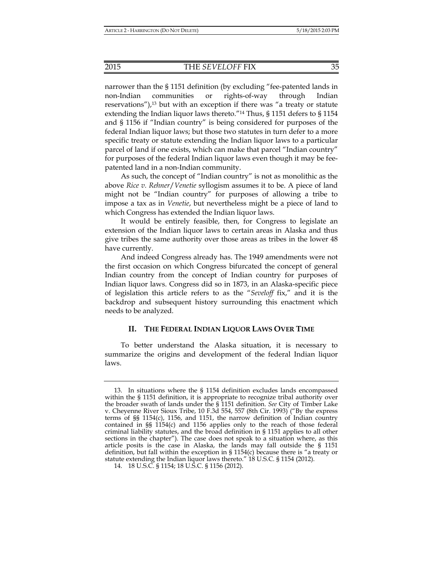narrower than the § 1151 definition (by excluding "fee-patented lands in non-Indian communities or rights-of-way through Indian reservations"), $^{13}$  but with an exception if there was "a treaty or statute extending the Indian liquor laws thereto."14 Thus, § 1151 defers to § 1154 and § 1156 if "Indian country" is being considered for purposes of the federal Indian liquor laws; but those two statutes in turn defer to a more specific treaty or statute extending the Indian liquor laws to a particular parcel of land if one exists, which can make that parcel "Indian country" for purposes of the federal Indian liquor laws even though it may be feepatented land in a non-Indian community.

As such, the concept of "Indian country" is not as monolithic as the above *Rice v. Rehner*/*Venetie* syllogism assumes it to be. A piece of land might not be "Indian country" for purposes of allowing a tribe to impose a tax as in *Venetie*, but nevertheless might be a piece of land to which Congress has extended the Indian liquor laws.

It would be entirely feasible, then, for Congress to legislate an extension of the Indian liquor laws to certain areas in Alaska and thus give tribes the same authority over those areas as tribes in the lower 48 have currently.

And indeed Congress already has. The 1949 amendments were not the first occasion on which Congress bifurcated the concept of general Indian country from the concept of Indian country for purposes of Indian liquor laws. Congress did so in 1873, in an Alaska-specific piece of legislation this article refers to as the "*Seveloff* fix," and it is the backdrop and subsequent history surrounding this enactment which needs to be analyzed.

#### **II. THE FEDERAL INDIAN LIQUOR LAWS OVER TIME**

To better understand the Alaska situation, it is necessary to summarize the origins and development of the federal Indian liquor laws.

 <sup>13.</sup> In situations where the § 1154 definition excludes lands encompassed within the § 1151 definition, it is appropriate to recognize tribal authority over the broader swath of lands under the § 1151 definition. *See* City of Timber Lake v. Cheyenne River Sioux Tribe, 10 F.3d 554, 557 (8th Cir. 1993) ("By the express terms of §§ 1154(c), 1156, and 1151, the narrow definition of Indian country contained in §§ 1154(c) and 1156 applies only to the reach of those federal criminal liability statutes, and the broad definition in § 1151 applies to all other sections in the chapter"). The case does not speak to a situation where, as this article posits is the case in Alaska, the lands may fall outside the § 1151 definition, but fall within the exception in  $\S 1154(c)$  because there is "a treaty or statute extending the Indian liquor laws thereto." 18 U.S.C. § 1154 (2012).

 <sup>14. 18</sup> U.S.C. § 1154; 18 U.S.C. § 1156 (2012).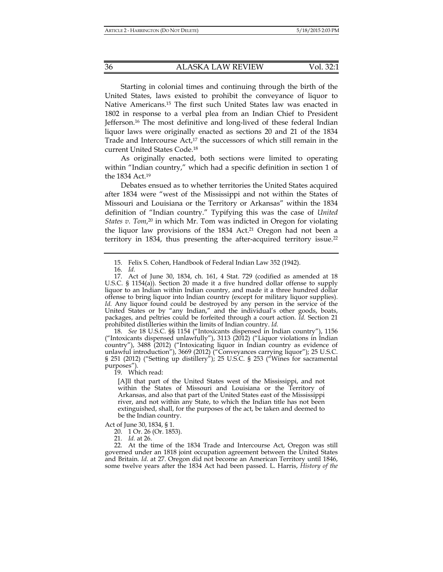Starting in colonial times and continuing through the birth of the United States, laws existed to prohibit the conveyance of liquor to Native Americans.15 The first such United States law was enacted in 1802 in response to a verbal plea from an Indian Chief to President Jefferson.16 The most definitive and long-lived of these federal Indian liquor laws were originally enacted as sections 20 and 21 of the 1834 Trade and Intercourse Act,<sup>17</sup> the successors of which still remain in the current United States Code.18

As originally enacted, both sections were limited to operating within "Indian country," which had a specific definition in section 1 of the 1834 Act.19

Debates ensued as to whether territories the United States acquired after 1834 were "west of the Mississippi and not within the States of Missouri and Louisiana or the Territory or Arkansas" within the 1834 definition of "Indian country." Typifying this was the case of *United States v. Tom*, 20 in which Mr. Tom was indicted in Oregon for violating the liquor law provisions of the 1834 Act.<sup>21</sup> Oregon had not been a territory in 1834, thus presenting the after-acquired territory issue.<sup>22</sup>

 18. *See* 18 U.S.C. §§ 1154 ("Intoxicants dispensed in Indian country"), 1156 ("Intoxicants dispensed unlawfully"), 3113 (2012) ("Liquor violations in Indian country"), 3488 (2012) ("Intoxicating liquor in Indian country as evidence of unlawful introduction"), 3669 (2012) ("Conveyances carrying liquor"); 25 U.S.C. § 251 (2012) ("Setting up distillery"); 25 U.S.C. § 253 ("Wines for sacramental purposes").

19. Which read:

[A]ll that part of the United States west of the Mississippi, and not within the States of Missouri and Louisiana or the Territory of Arkansas, and also that part of the United States east of the Mississippi river, and not within any State, to which the Indian title has not been extinguished, shall, for the purposes of the act, be taken and deemed to be the Indian country.

Act of June 30, 1834, § 1.

20. 1 Or. 26 (Or. 1853).

21*. Id.* at 26.

 <sup>15.</sup> Felix S. Cohen, Handbook of Federal Indian Law 352 (1942).

 <sup>16.</sup> *Id.*

 <sup>17.</sup> Act of June 30, 1834, ch. 161, 4 Stat. 729 (codified as amended at 18 U.S.C. § 1154(a)). Section 20 made it a five hundred dollar offense to supply liquor to an Indian within Indian country, and made it a three hundred dollar offense to bring liquor into Indian country (except for military liquor supplies). *Id.* Any liquor found could be destroyed by any person in the service of the United States or by "any Indian," and the individual's other goods, boats, packages, and peltries could be forfeited through a court action. *Id.* Section 21 prohibited distilleries within the limits of Indian country. *Id.*

 <sup>22.</sup> At the time of the 1834 Trade and Intercourse Act, Oregon was still governed under an 1818 joint occupation agreement between the United States and Britain. *Id*. at 27. Oregon did not become an American Territory until 1846, some twelve years after the 1834 Act had been passed. L. Harris, *History of the*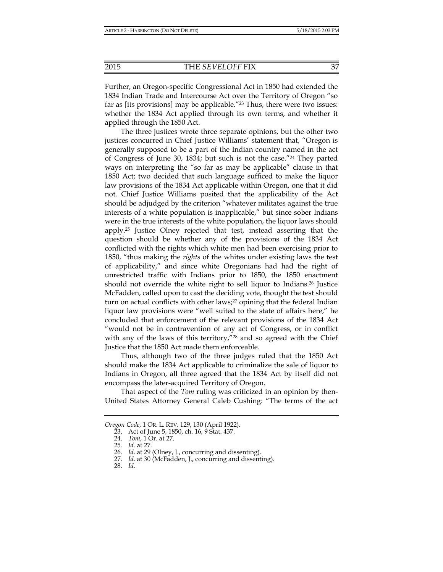Further, an Oregon-specific Congressional Act in 1850 had extended the 1834 Indian Trade and Intercourse Act over the Territory of Oregon "so far as [its provisions] may be applicable.<sup>"23</sup> Thus, there were two issues: whether the 1834 Act applied through its own terms, and whether it applied through the 1850 Act.

The three justices wrote three separate opinions, but the other two justices concurred in Chief Justice Williams' statement that, "Oregon is generally supposed to be a part of the Indian country named in the act of Congress of June 30, 1834; but such is not the case."24 They parted ways on interpreting the "so far as may be applicable" clause in that 1850 Act; two decided that such language sufficed to make the liquor law provisions of the 1834 Act applicable within Oregon, one that it did not. Chief Justice Williams posited that the applicability of the Act should be adjudged by the criterion "whatever militates against the true interests of a white population is inapplicable," but since sober Indians were in the true interests of the white population, the liquor laws should apply.25 Justice Olney rejected that test, instead asserting that the question should be whether any of the provisions of the 1834 Act conflicted with the rights which white men had been exercising prior to 1850, "thus making the *rights* of the whites under existing laws the test of applicability," and since white Oregonians had had the right of unrestricted traffic with Indians prior to 1850, the 1850 enactment should not override the white right to sell liquor to Indians.26 Justice McFadden, called upon to cast the deciding vote, thought the test should turn on actual conflicts with other laws;<sup>27</sup> opining that the federal Indian liquor law provisions were "well suited to the state of affairs here," he concluded that enforcement of the relevant provisions of the 1834 Act "would not be in contravention of any act of Congress, or in conflict with any of the laws of this territory,"<sup>28</sup> and so agreed with the Chief Justice that the 1850 Act made them enforceable.

Thus, although two of the three judges ruled that the 1850 Act should make the 1834 Act applicable to criminalize the sale of liquor to Indians in Oregon, all three agreed that the 1834 Act by itself did not encompass the later-acquired Territory of Oregon.

That aspect of the *Tom* ruling was criticized in an opinion by then-United States Attorney General Caleb Cushing: "The terms of the act

*Oregon Code*, 1 OR. L. REV. 129, 130 (April 1922).

 <sup>23.</sup> Act of June 5, 1850, ch. 16, 9 Stat. 437.

 <sup>24.</sup> *Tom*, 1 Or. at 27.

 <sup>25.</sup> *Id.* at 27.

 <sup>26.</sup> *Id.* at 29 (Olney, J., concurring and dissenting).

 <sup>27.</sup> *Id.* at 30 (McFadden, J., concurring and dissenting).

 <sup>28.</sup> *Id.*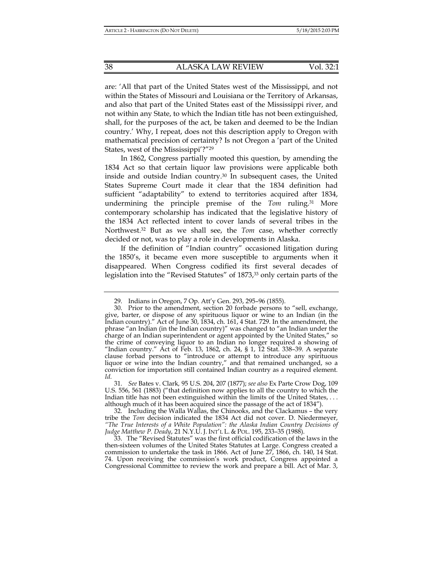are: 'All that part of the United States west of the Mississippi, and not within the States of Missouri and Louisiana or the Territory of Arkansas, and also that part of the United States east of the Mississippi river, and not within any State, to which the Indian title has not been extinguished, shall, for the purposes of the act, be taken and deemed to be the Indian country.' Why, I repeat, does not this description apply to Oregon with mathematical precision of certainty? Is not Oregon a 'part of the United States, west of the Mississippi'?"29

In 1862, Congress partially mooted this question, by amending the 1834 Act so that certain liquor law provisions were applicable both inside and outside Indian country.30 In subsequent cases, the United States Supreme Court made it clear that the 1834 definition had sufficient "adaptability" to extend to territories acquired after 1834, undermining the principle premise of the *Tom* ruling.31 More contemporary scholarship has indicated that the legislative history of the 1834 Act reflected intent to cover lands of several tribes in the Northwest.32 But as we shall see, the *Tom* case, whether correctly decided or not, was to play a role in developments in Alaska.

If the definition of "Indian country" occasioned litigation during the 1850's, it became even more susceptible to arguments when it disappeared. When Congress codified its first several decades of legislation into the "Revised Statutes" of 1873,<sup>33</sup> only certain parts of the

 <sup>29.</sup> Indians in Oregon, 7 Op. Att'y Gen. 293, 295–96 (1855).

 <sup>30.</sup> Prior to the amendment, section 20 forbade persons to "sell, exchange, give, barter, or dispose of any spirituous liquor or wine to an Indian (in the Indian country)." Act of June 30, 1834, ch. 161, 4 Stat. 729. In the amendment, the phrase "an Indian (in the Indian country)" was changed to "an Indian under the charge of an Indian superintendent or agent appointed by the United States," so the crime of conveying liquor to an Indian no longer required a showing of "Indian country." Act of Feb. 13, 1862, ch. 24, § 1,  $\overline{1}2$  Stat. 338-39. A separate clause forbad persons to "introduce or attempt to introduce any spirituous liquor or wine into the Indian country," and that remained unchanged, so a conviction for importation still contained Indian country as a required element. *Id.*

 <sup>31.</sup> *See* Bates v. Clark*,* 95 U.S. 204, 207 (1877); *see also* Ex Parte Crow Dog, 109 U.S. 556, 561 (1883) ("that definition now applies to all the country to which the Indian title has not been extinguished within the limits of the United States, . . . although much of it has been acquired since the passage of the act of 1834").

 <sup>32.</sup> Including the Walla Wallas, the Chinooks, and the Clackamus – the very tribe the *Tom* decision indicated the 1834 Act did not cover. D. Niedermeyer, *"The True Interests of a White Population": the Alaska Indian Country Decisions of Judge Matthew P. Deady*, 21 N.Y.U. J. INT'L L. & POL. 195, 233–35 (1988).

 <sup>33.</sup> The "Revised Statutes" was the first official codification of the laws in the then-sixteen volumes of the United States Statutes at Large. Congress created a commission to undertake the task in 1866. Act of June 27, 1866, ch. 140, 14 Stat. 74. Upon receiving the commission's work product, Congress appointed a Congressional Committee to review the work and prepare a bill. Act of Mar. 3,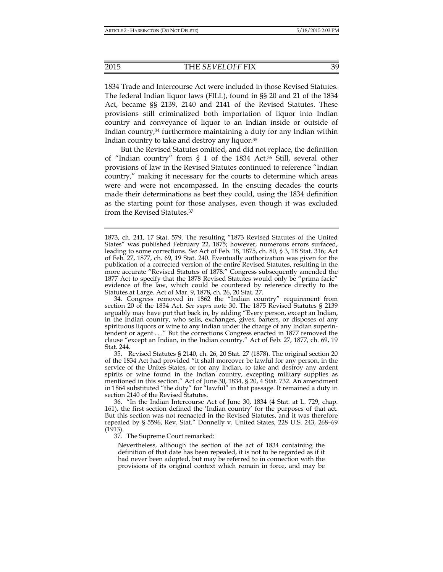1834 Trade and Intercourse Act were included in those Revised Statutes. The federal Indian liquor laws (FILL), found in §§ 20 and 21 of the 1834 Act, became §§ 2139, 2140 and 2141 of the Revised Statutes. These provisions still criminalized both importation of liquor into Indian country and conveyance of liquor to an Indian inside or outside of Indian country, $34$  furthermore maintaining a duty for any Indian within Indian country to take and destroy any liquor.35

But the Revised Statutes omitted, and did not replace, the definition of "Indian country" from § 1 of the 1834 Act.36 Still, several other provisions of law in the Revised Statutes continued to reference "Indian country," making it necessary for the courts to determine which areas were and were not encompassed. In the ensuing decades the courts made their determinations as best they could, using the 1834 definition as the starting point for those analyses, even though it was excluded from the Revised Statutes.37

 34. Congress removed in 1862 the "Indian country" requirement from section 20 of the 1834 Act. *See supra* note 30. The 1875 Revised Statutes § 2139 arguably may have put that back in, by adding "Every person, except an Indian, in the Indian country, who sells, exchanges, gives, barters, or disposes of any spirituous liquors or wine to any Indian under the charge of any Indian superintendent or agent . . ." But the corrections Congress enacted in 1877 removed the clause "except an Indian, in the Indian country." Act of Feb. 27, 1877, ch. 69, 19 Stat. 244.

 35. Revised Statutes § 2140, ch. 26, 20 Stat. 27 (1878). The original section 20 of the 1834 Act had provided "it shall moreover be lawful for any person, in the service of the Unites States, or for any Indian, to take and destroy any ardent spirits or wine found in the Indian country, excepting military supplies as mentioned in this section." Act of June 30, 1834, § 20, 4 Stat. 732. An amendment in 1864 substituted "the duty" for "lawful" in that passage. It remained a duty in section 2140 of the Revised Štatutes.

 36. "In the Indian Intercourse Act of June 30, 1834 (4 Stat. at L. 729, chap. 161), the first section defined the 'Indian country' for the purposes of that act. But this section was not reenacted in the Revised Statutes, and it was therefore repealed by § 5596, Rev. Stat." Donnelly v. United States, 228 U.S. 243, 268–69  $(1913).$ 

37. The Supreme Court remarked:

Nevertheless, although the section of the act of 1834 containing the definition of that date has been repealed, it is not to be regarded as if it had never been adopted, but may be referred to in connection with the provisions of its original context which remain in force, and may be

<sup>1873,</sup> ch. 241, 17 Stat. 579. The resulting "1873 Revised Statutes of the United States" was published February 22, 1875; however, numerous errors surfaced, leading to some corrections. *See* Act of Feb. 18, 1875, ch. 80, § 3, 18 Stat. 316; Act of Feb. 27, 1877, ch. 69, 19 Stat. 240. Eventually authorization was given for the publication of a corrected version of the entire Revised Statutes, resulting in the more accurate "Revised Statutes of 1878." Congress subsequently amended the 1877 Act to specify that the 1878 Revised Statutes would only be "prima facie" evidence of the law, which could be countered by reference directly to the Statutes at Large. Act of Mar. 9, 1878, ch. 26, 20 Stat. 27.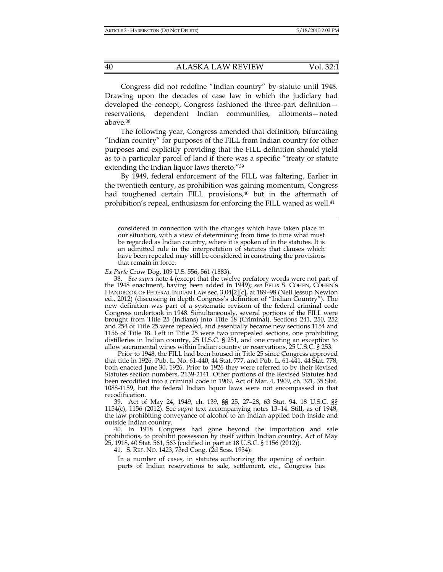Congress did not redefine "Indian country" by statute until 1948. Drawing upon the decades of case law in which the judiciary had developed the concept, Congress fashioned the three-part definition reservations, dependent Indian communities, allotments—noted above.38

The following year, Congress amended that definition, bifurcating "Indian country" for purposes of the FILL from Indian country for other purposes and explicitly providing that the FILL definition should yield as to a particular parcel of land if there was a specific "treaty or statute extending the Indian liquor laws thereto."39

By 1949, federal enforcement of the FILL was faltering. Earlier in the twentieth century, as prohibition was gaining momentum, Congress had toughened certain FILL provisions,<sup>40</sup> but in the aftermath of prohibition's repeal, enthusiasm for enforcing the FILL waned as well.<sup>41</sup>

*Ex Parte* Crow Dog, 109 U.S. 556, 561 (1883).

 38. *See supra* note 4 (except that the twelve prefatory words were not part of the 1948 enactment, having been added in 1949); *see* FELIX S. COHEN, COHEN'S HANDBOOK OF FEDERAL INDIAN LAW sec. 3.04[2][c], at 189-98 (Nell Jessup Newton ed., 2012) (discussing in depth Congress's definition of "Indian Country"). The new definition was part of a systematic revision of the federal criminal code Congress undertook in 1948. Simultaneously, several portions of the FILL were brought from Title 25 (Indians) into Title 18 (Criminal). Sections 241, 250, 252 and 254 of Title 25 were repealed, and essentially became new sections 1154 and 1156 of Title 18. Left in Title 25 were two unrepealed sections, one prohibiting distilleries in Indian country, 25 U.S.C. § 251, and one creating an exception to allow sacramental wines within Indian country or reservations, 25 U.S.C. § 253.

Prior to 1948, the FILL had been housed in Title 25 since Congress approved that title in 1926, Pub. L. No. 61-440, 44 Stat. 777, and Pub. L. 61-441, 44 Stat. 778, both enacted June 30, 1926. Prior to 1926 they were referred to by their Revised Statutes section numbers, 2139-2141. Other portions of the Revised Statutes had been recodified into a criminal code in 1909, Act of Mar. 4, 1909, ch. 321, 35 Stat. 1088-1159, but the federal Indian liquor laws were not encompassed in that recodification.

 39. Act of May 24, 1949, ch. 139, §§ 25, 27–28, 63 Stat. 94. 18 U.S.C. §§ 1154(c), 1156 (2012). See *supra* text accompanying notes 13–14. Still, as of 1948, the law prohibiting conveyance of alcohol to an Indian applied both inside and outside Indian country.

 40. In 1918 Congress had gone beyond the importation and sale prohibitions, to prohibit possession by itself within Indian country. Act of May 25, 1918, 40 Stat. 561, 563 (codified in part at 18 U.S.C. § 1156 (2012)).

41. S. REP. NO. 1423, 73rd Cong. (2d Sess. 1934):

In a number of cases, in statutes authorizing the opening of certain parts of Indian reservations to sale, settlement, etc., Congress has

considered in connection with the changes which have taken place in our situation, with a view of determining from time to time what must be regarded as Indian country, where it is spoken of in the statutes. It is an admitted rule in the interpretation of statutes that clauses which have been repealed may still be considered in construing the provisions that remain in force.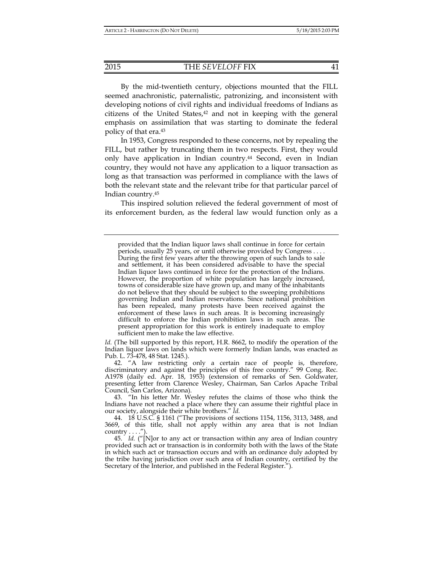By the mid-twentieth century, objections mounted that the FILL seemed anachronistic, paternalistic, patronizing, and inconsistent with developing notions of civil rights and individual freedoms of Indians as citizens of the United States, $42$  and not in keeping with the general emphasis on assimilation that was starting to dominate the federal policy of that era.43

In 1953, Congress responded to these concerns, not by repealing the FILL, but rather by truncating them in two respects. First, they would only have application in Indian country.<sup>44</sup> Second, even in Indian country, they would not have any application to a liquor transaction as long as that transaction was performed in compliance with the laws of both the relevant state and the relevant tribe for that particular parcel of Indian country.45

This inspired solution relieved the federal government of most of its enforcement burden, as the federal law would function only as a

*Id.* (The bill supported by this report, H.R. 8662, to modify the operation of the Indian liquor laws on lands which were formerly Indian lands, was enacted as Pub. L. 73-478, 48 Stat. 1245.).

 42. "A law restricting only a certain race of people is, therefore, discriminatory and against the principles of this free country." 99 Cong. Rec. A1978 (daily ed. Apr. 18, 1953) (extension of remarks of Sen. Goldwater, presenting letter from Clarence Wesley, Chairman, San Carlos Apache Tribal Council, San Carlos, Arizona).

 43. "In his letter Mr. Wesley refutes the claims of those who think the Indians have not reached a place where they can assume their rightful place in our society, alongside their white brothers." *Id.*

 44. 18 U.S.C. § 1161 ("The provisions of sections 1154, 1156, 3113, 3488, and 3669, of this title, shall not apply within any area that is not Indian country  $\dots$ .").

 45. *Id.* ("[N]or to any act or transaction within any area of Indian country provided such act or transaction is in conformity both with the laws of the State in which such act or transaction occurs and with an ordinance duly adopted by the tribe having jurisdiction over such area of Indian country, certified by the Secretary of the Interior, and published in the Federal Register.").

provided that the Indian liquor laws shall continue in force for certain periods, usually 25 years, or until otherwise provided by Congress . . . . During the first few years after the throwing open of such lands to sale and settlement, it has been considered advisable to have the special Indian liquor laws continued in force for the protection of the Indians. However, the proportion of white population has largely increased, towns of considerable size have grown up, and many of the inhabitants do not believe that they should be subject to the sweeping prohibitions governing Indian and Indian reservations. Since national prohibition has been repealed, many protests have been received against the enforcement of these laws in such areas. It is becoming increasingly difficult to enforce the Indian prohibition laws in such areas. The present appropriation for this work is entirely inadequate to employ sufficient men to make the law effective.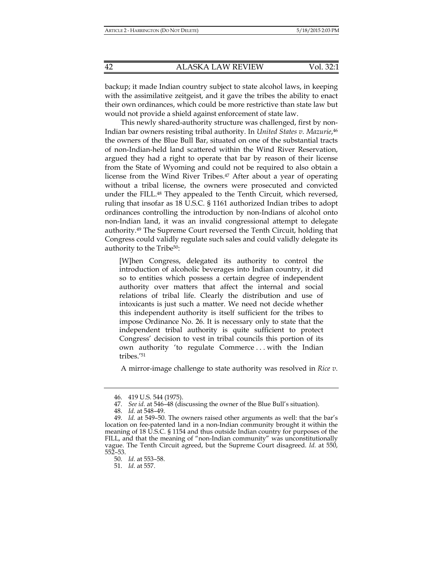backup; it made Indian country subject to state alcohol laws, in keeping with the assimilative zeitgeist, and it gave the tribes the ability to enact their own ordinances, which could be more restrictive than state law but would not provide a shield against enforcement of state law.

This newly shared-authority structure was challenged, first by non-Indian bar owners resisting tribal authority. In *United States v. Mazurie*,46 the owners of the Blue Bull Bar, situated on one of the substantial tracts of non-Indian-held land scattered within the Wind River Reservation, argued they had a right to operate that bar by reason of their license from the State of Wyoming and could not be required to also obtain a license from the Wind River Tribes.<sup>47</sup> After about a year of operating without a tribal license, the owners were prosecuted and convicted under the FILL.48 They appealed to the Tenth Circuit, which reversed, ruling that insofar as 18 U.S.C. § 1161 authorized Indian tribes to adopt ordinances controlling the introduction by non-Indians of alcohol onto non-Indian land, it was an invalid congressional attempt to delegate authority.49 The Supreme Court reversed the Tenth Circuit, holding that Congress could validly regulate such sales and could validly delegate its authority to the Tribe50:

[W]hen Congress, delegated its authority to control the introduction of alcoholic beverages into Indian country, it did so to entities which possess a certain degree of independent authority over matters that affect the internal and social relations of tribal life. Clearly the distribution and use of intoxicants is just such a matter. We need not decide whether this independent authority is itself sufficient for the tribes to impose Ordinance No. 26. It is necessary only to state that the independent tribal authority is quite sufficient to protect Congress' decision to vest in tribal councils this portion of its own authority 'to regulate Commerce . . . with the Indian tribes.'51

A mirror-image challenge to state authority was resolved in *Rice v.* 

 <sup>46. 419</sup> U.S. 544 (1975).

 <sup>47.</sup> *See id.* at 546–48 (discussing the owner of the Blue Bull's situation).

 <sup>48.</sup> *Id.* at 548–49.

 <sup>49.</sup> *Id.* at 549–50. The owners raised other arguments as well: that the bar's location on fee-patented land in a non-Indian community brought it within the meaning of 18 U.S.C. § 1154 and thus outside Indian country for purposes of the FILL, and that the meaning of "non-Indian community" was unconstitutionally vague. The Tenth Circuit agreed, but the Supreme Court disagreed. *Id.* at 550, 552–53.

 <sup>50.</sup> *Id.* at 553–58.

 <sup>51.</sup> *Id.* at 557.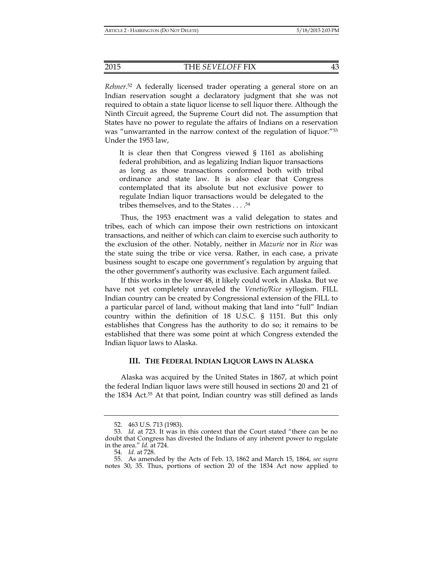*Rehner*. 52 A federally licensed trader operating a general store on an Indian reservation sought a declaratory judgment that she was not required to obtain a state liquor license to sell liquor there. Although the Ninth Circuit agreed, the Supreme Court did not. The assumption that States have no power to regulate the affairs of Indians on a reservation was "unwarranted in the narrow context of the regulation of liquor."53 Under the 1953 law,

It is clear then that Congress viewed § 1161 as abolishing federal prohibition, and as legalizing Indian liquor transactions as long as those transactions conformed both with tribal ordinance and state law. It is also clear that Congress contemplated that its absolute but not exclusive power to regulate Indian liquor transactions would be delegated to the tribes themselves, and to the States . . . .54

Thus, the 1953 enactment was a valid delegation to states and tribes, each of which can impose their own restrictions on intoxicant transactions, and neither of which can claim to exercise such authority to the exclusion of the other. Notably, neither in *Mazurie* nor in *Rice* was the state suing the tribe or vice versa. Rather, in each case, a private business sought to escape one government's regulation by arguing that the other government's authority was exclusive. Each argument failed.

If this works in the lower 48, it likely could work in Alaska. But we have not yet completely unraveled the *Venetie/Rice* syllogism. FILL Indian country can be created by Congressional extension of the FILL to a particular parcel of land, without making that land into "full" Indian country within the definition of 18 U.S.C. § 1151. But this only establishes that Congress has the authority to do so; it remains to be established that there was some point at which Congress extended the Indian liquor laws to Alaska.

#### **III. THE FEDERAL INDIAN LIQUOR LAWS IN ALASKA**

Alaska was acquired by the United States in 1867, at which point the federal Indian liquor laws were still housed in sections 20 and 21 of the 1834 Act.55 At that point, Indian country was still defined as lands

 <sup>52. 463</sup> U.S. 713 (1983).

 <sup>53.</sup> *Id.* at 723. It was in this context that the Court stated "there can be no doubt that Congress has divested the Indians of any inherent power to regulate in the area." *Id.* at 724.

 <sup>54.</sup> *Id.* at 728.

 <sup>55.</sup> As amended by the Acts of Feb. 13, 1862 and March 15, 1864, *see supra* notes 30, 35. Thus, portions of section 20 of the 1834 Act now applied to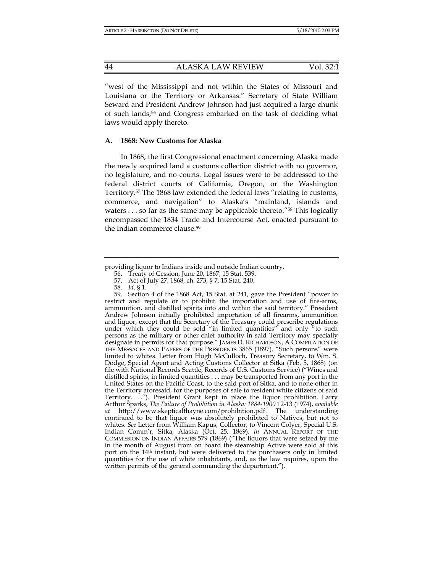"west of the Mississippi and not within the States of Missouri and Louisiana or the Territory or Arkansas." Secretary of State William Seward and President Andrew Johnson had just acquired a large chunk of such lands,56 and Congress embarked on the task of deciding what laws would apply thereto.

#### **A. 1868: New Customs for Alaska**

In 1868, the first Congressional enactment concerning Alaska made the newly acquired land a customs collection district with no governor, no legislature, and no courts. Legal issues were to be addressed to the federal district courts of California, Oregon, or the Washington Territory.57 The 1868 law extended the federal laws "relating to customs, commerce, and navigation" to Alaska's "mainland, islands and waters . . . so far as the same may be applicable thereto."<sup>58</sup> This logically encompassed the 1834 Trade and Intercourse Act, enacted pursuant to the Indian commerce clause.59

 59. Section 4 of the 1868 Act, 15 Stat. at 241, gave the President "power to restrict and regulate or to prohibit the importation and use of fire-arms, ammunition, and distilled spirits into and within the said territory." President Andrew Johnson initially prohibited importation of all firearms, ammunition and liquor, except that the Secretary of the Treasury could prescribe regulations under which they could be sold "in limited quantities" and only "to such persons as the military or other chief authority in said Territory may specially designate in permits for that purpose." JAMES D. RICHARDSON, A COMPILATION OF THE MESSAGES AND PAPERS OF THE PRESIDENTS 3865 (1897). "Such persons" were limited to whites. Letter from Hugh McCulloch, Treasury Secretary, to Wm. S. Dodge, Special Agent and Acting Customs Collector at Sitka (Feb. 5, 1868) (on file with National Records Seattle, Records of U.S. Customs Service) ("Wines and distilled spirits, in limited quantities . . . may be transported from any port in the United States on the Pacific Coast, to the said port of Sitka, and to none other in the Territory aforesaid, for the purposes of sale to resident white citizens of said Territory. . . ."). President Grant kept in place the liquor prohibition. Larry Arthur Sparks, *The Failure of Prohibition in Alaska: 1884-1900* 12-13 (1974), *available at* http://www.skepticalthayne.com/prohibition.pdf. The understanding continued to be that liquor was absolutely prohibited to Natives, but not to whites. *See* Letter from William Kapus, Collector, to Vincent Colyer, Special U.S. Indian Comm'r, Sitka, Alaska (Oct. 25, 1869), *in* ANNUAL REPORT OF THE COMMISSION ON INDIAN AFFAIRS 579 (1869) ("The liquors that were seized by me in the month of August from on board the steamship Active were sold at this port on the 14th instant, but were delivered to the purchasers only in limited quantities for the use of white inhabitants, and, as the law requires, upon the written permits of the general commanding the department.").

providing liquor to Indians inside and outside Indian country.

 <sup>56.</sup> Treaty of Cession, June 20, 1867, 15 Stat. 539.

 <sup>57.</sup> Act of July 27, 1868, ch. 273, § 7, 15 Stat. 240.

 <sup>58.</sup> *Id*. § 1.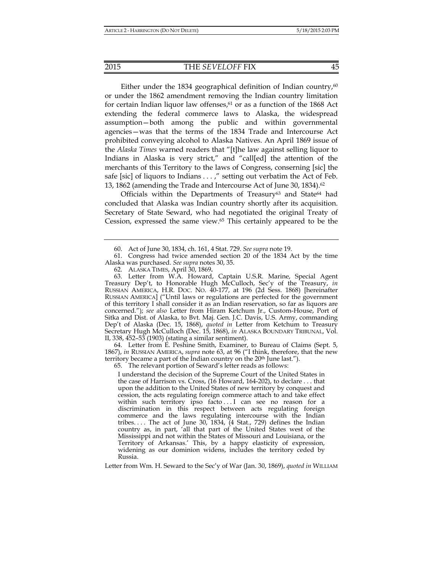Either under the 1834 geographical definition of Indian country, $60$ or under the 1862 amendment removing the Indian country limitation for certain Indian liquor law offenses, $61$  or as a function of the 1868 Act extending the federal commerce laws to Alaska, the widespread assumption—both among the public and within governmental agencies—was that the terms of the 1834 Trade and Intercourse Act prohibited conveying alcohol to Alaska Natives. An April 1869 issue of the *Alaska Times* warned readers that "[t]he law against selling liquor to Indians in Alaska is very strict," and "call[ed] the attention of the merchants of this Territory to the laws of Congress, conserning [sic] the safe [sic] of liquors to Indians . . . ," setting out verbatim the Act of Feb. 13, 1862 (amending the Trade and Intercourse Act of June 30, 1834).62

Officials within the Departments of Treasury<sup>63</sup> and State<sup>64</sup> had concluded that Alaska was Indian country shortly after its acquisition. Secretary of State Seward, who had negotiated the original Treaty of Cession, expressed the same view.65 This certainly appeared to be the

 63. Letter from W.A. Howard, Captain U.S.R. Marine, Special Agent Treasury Dep't, to Honorable Hugh McCulloch, Sec'y of the Treasury, *in* RUSSIAN AMERICA, H.R. DOC. NO. 40-177, at 196 (2d Sess. 1868) [hereinafter RUSSIAN AMERICA] ("Until laws or regulations are perfected for the government of this territory I shall consider it as an Indian reservation, so far as liquors are concerned."); *see also* Letter from Hiram Ketchum Jr., Custom-House, Port of Sitka and Dist. of Alaska, to Bvt. Maj. Gen. J.C. Davis, U.S. Army, commanding Dep't of Alaska (Dec. 15, 1868), *quoted in* Letter from Ketchum to Treasury Secretary Hugh McCulloch (Dec. 15, 1868), *in* ALASKA BOUNDARY TRIBUNAL, Vol. II, 338, 452–53 (1903) (stating a similar sentiment).

 64. Letter from E. Peshine Smith, Examiner, to Bureau of Claims (Sept. 5, 1867), *in* RUSSIAN AMERICA, *supra* note 63, at 96 ("I think, therefore, that the new territory became a part of the Indian country on the 20<sup>th</sup> June last.").

65. The relevant portion of Seward's letter reads as follows:

I understand the decision of the Supreme Court of the United States in the case of Harrison vs. Cross, (16 Howard, 164-202), to declare . . . that upon the addition to the United States of new territory by conquest and cession, the acts regulating foreign commerce attach to and take effect within such territory ipso facto ... I can see no reason for a discrimination in this respect between acts regulating foreign commerce and the laws regulating intercourse with the Indian tribes.... The act of June 30, 1834,  $(4 \text{ Stat.}, 729)$  defines the Indian country as, in part, 'all that part of the United States west of the Mississippi and not within the States of Missouri and Louisiana, or the Territory of Arkansas.' This, by a happy elasticity of expression, widening as our dominion widens, includes the territory ceded by Russia.

Letter from Wm. H. Seward to the Sec'y of War (Jan. 30, 1869), *quoted in* WILLIAM

 <sup>60.</sup> Act of June 30, 1834, ch. 161, 4 Stat. 729. *See supra* note 19.

 <sup>61.</sup> Congress had twice amended section 20 of the 1834 Act by the time Alaska was purchased. *See supra* notes 30, 35.

 <sup>62.</sup> ALASKA TIMES, April 30, 1869**.**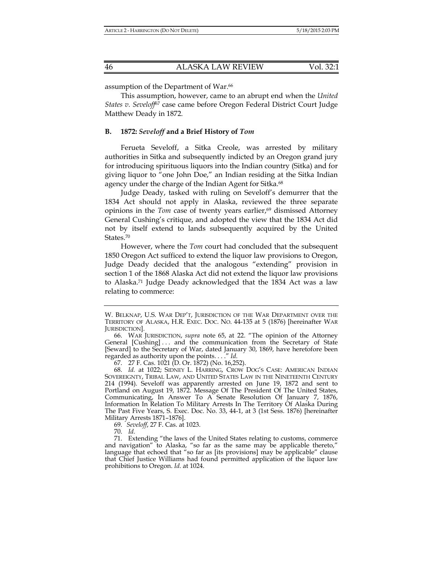assumption of the Department of War.<sup>66</sup>

This assumption, however, came to an abrupt end when the *United States v. Seveloff*67 case came before Oregon Federal District Court Judge Matthew Deady in 1872.

#### **B. 1872:** *Seveloff* **and a Brief History of** *Tom*

Ferueta Seveloff, a Sitka Creole, was arrested by military authorities in Sitka and subsequently indicted by an Oregon grand jury for introducing spirituous liquors into the Indian country (Sitka) and for giving liquor to "one John Doe," an Indian residing at the Sitka Indian agency under the charge of the Indian Agent for Sitka.<sup>68</sup>

Judge Deady, tasked with ruling on Seveloff's demurrer that the 1834 Act should not apply in Alaska, reviewed the three separate opinions in the *Tom* case of twenty years earlier,<sup>69</sup> dismissed Attorney General Cushing's critique, and adopted the view that the 1834 Act did not by itself extend to lands subsequently acquired by the United States.70

However, where the *Tom* court had concluded that the subsequent 1850 Oregon Act sufficed to extend the liquor law provisions to Oregon, Judge Deady decided that the analogous "extending" provision in section 1 of the 1868 Alaska Act did not extend the liquor law provisions to Alaska.71 Judge Deady acknowledged that the 1834 Act was a law relating to commerce:

70. *Id.*

W. BELKNAP, U.S. WAR DEP'T, JURISDICTION OF THE WAR DEPARTMENT OVER THE TERRITORY OF ALASKA, H.R. EXEC. DOC. NO. 44-135 at 5 (1876) [hereinafter WAR JURISDICTION].

 <sup>66.</sup> WAR JURISDICTION, *supra* note 65, at 22. "The opinion of the Attorney General [Cushing] ... and the communication from the Secretary of State [Seward] to the Secretary of War, dated January 30, 1869, have heretofore been regarded as authority upon the points. . . ." *Id.*

 <sup>67. 27</sup> F. Cas. 1021 (D. Or. 1872) (No. 16,252).

 <sup>68.</sup> *Id.* at 1022; SIDNEY L. HARRING, CROW DOG'S CASE: AMERICAN INDIAN SOVEREIGNTY, TRIBAL LAW, AND UNITED STATES LAW IN THE NINETEENTH CENTURY 214 (1994). Seveloff was apparently arrested on June 19, 1872 and sent to Portland on August 19, 1872. Message Of The President Of The United States, Communicating, In Answer To A Senate Resolution Of January 7, 1876, Information In Relation To Military Arrests In The Territory Of Alaska During The Past Five Years, S. Exec. Doc. No. 33, 44-1, at 3 (1st Sess. 1876) [hereinafter Military Arrests 1871–1876].

 <sup>69.</sup> *Seveloff*, 27 F. Cas. at 1023.

 <sup>71.</sup> Extending "the laws of the United States relating to customs, commerce and navigation" to Alaska, "so far as the same may be applicable thereto," language that echoed that "so far as [its provisions] may be applicable" clause that Chief Justice Williams had found permitted application of the liquor law prohibitions to Oregon. *Id.* at 1024.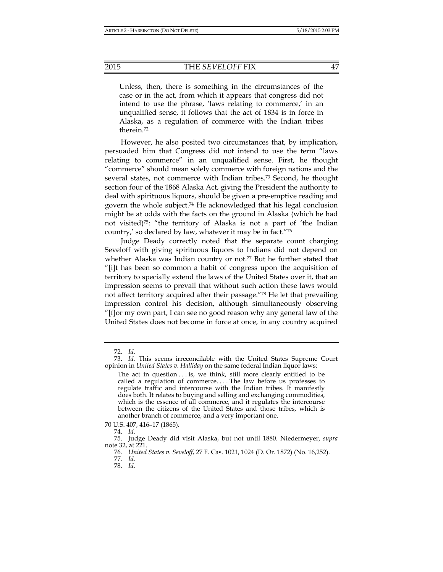#### 2015 THE *SEVELOFF* FIX 47

Unless, then, there is something in the circumstances of the case or in the act, from which it appears that congress did not intend to use the phrase, 'laws relating to commerce,' in an unqualified sense, it follows that the act of 1834 is in force in Alaska, as a regulation of commerce with the Indian tribes therein.72

However, he also posited two circumstances that, by implication, persuaded him that Congress did not intend to use the term "laws relating to commerce" in an unqualified sense. First, he thought "commerce" should mean solely commerce with foreign nations and the several states, not commerce with Indian tribes.73 Second, he thought section four of the 1868 Alaska Act, giving the President the authority to deal with spirituous liquors, should be given a pre-emptive reading and govern the whole subject.74 He acknowledged that his legal conclusion might be at odds with the facts on the ground in Alaska (which he had not visited)75: "the territory of Alaska is not a part of 'the Indian country,' so declared by law, whatever it may be in fact."76

Judge Deady correctly noted that the separate count charging Seveloff with giving spirituous liquors to Indians did not depend on whether Alaska was Indian country or not.<sup>77</sup> But he further stated that "[i]t has been so common a habit of congress upon the acquisition of territory to specially extend the laws of the United States over it, that an impression seems to prevail that without such action these laws would not affect territory acquired after their passage."78 He let that prevailing impression control his decision, although simultaneously observing "[f]or my own part, I can see no good reason why any general law of the United States does not become in force at once, in any country acquired

 <sup>72.</sup> *Id.*

 <sup>73.</sup> *Id.* This seems irreconcilable with the United States Supreme Court opinion in *United States v. Halliday* on the same federal Indian liquor laws:

The act in question . . . is, we think, still more clearly entitled to be called a regulation of commerce. . . . The law before us professes to regulate traffic and intercourse with the Indian tribes. It manifestly does both. It relates to buying and selling and exchanging commodities, which is the essence of all commerce, and it regulates the intercourse between the citizens of the United States and those tribes, which is another branch of commerce, and a very important one.

<sup>70</sup> U.S. 407, 416–17 (1865).

 <sup>74.</sup> *Id.*

 <sup>75.</sup> Judge Deady did visit Alaska, but not until 1880. Niedermeyer, *supra* note 32, at 221.

 <sup>76.</sup> *United States v. Seveloff*, 27 F. Cas. 1021, 1024 (D. Or. 1872) (No. 16,252).

 <sup>77.</sup> *Id.*

 <sup>78.</sup> *Id.*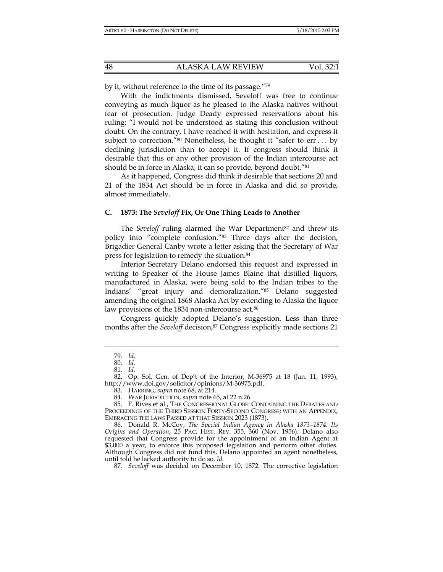by it, without reference to the time of its passage."79

With the indictments dismissed, Seveloff was free to continue conveying as much liquor as he pleased to the Alaska natives without fear of prosecution. Judge Deady expressed reservations about his ruling: "I would not be understood as stating this conclusion without doubt. On the contrary, I have reached it with hesitation, and express it subject to correction."80 Nonetheless, he thought it "safer to err . . . by declining jurisdiction than to accept it. If congress should think it desirable that this or any other provision of the Indian intercourse act should be in force in Alaska, it can so provide, beyond doubt."81

As it happened, Congress did think it desirable that sections 20 and 21 of the 1834 Act should be in force in Alaska and did so provide, almost immediately.

## **C. 1873: The** *Seveloff* **Fix, Or One Thing Leads to Another**

The *Seveloff* ruling alarmed the War Department<sup>82</sup> and threw its policy into "complete confusion."83 Three days after the decision, Brigadier General Canby wrote a letter asking that the Secretary of War press for legislation to remedy the situation.84

Interior Secretary Delano endorsed this request and expressed in writing to Speaker of the House James Blaine that distilled liquors, manufactured in Alaska, were being sold to the Indian tribes to the Indians' "great injury and demoralization."85 Delano suggested amending the original 1868 Alaska Act by extending to Alaska the liquor law provisions of the 1834 non-intercourse act.<sup>86</sup>

Congress quickly adopted Delano's suggestion. Less than three months after the *Seveloff* decision,<sup>87</sup> Congress explicitly made sections 21

87. *Seveloff* was decided on December 10, 1872. The corrective legislation

 <sup>79.</sup> *Id.*

 <sup>80.</sup> *Id.*

 <sup>81.</sup> *Id.*

 <sup>82.</sup> Op. Sol. Gen. of Dep't of the Interior, M-36975 at 18 (Jan. 11, 1993), http://www.doi.gov/solicitor/opinions/M-36975.pdf.

 <sup>83.</sup> HARRING, *supra* note 68, at 214.

 <sup>84.</sup> WAR JURISDICTION, *supra* note 65, at 22 n.26.

 <sup>85.</sup> F. Rives et al., THE CONGRESSIONAL GLOBE: CONTAINING THE DEBATES AND PROCEEDINGS OF THE THIRD SESSION FORTY-SECOND CONGRESS; WITH AN APPENDIX, EMBRACING THE LAWS PASSED AT THAT SESSION 2023 (1873).

 <sup>86.</sup> Donald R. McCoy, *The Special Indian Agency in Alaska 1873–1874: Its Origins and Operation*, 25 PAC. HIST. REV. 355, 360 (Nov. 1956). Delano also requested that Congress provide for the appointment of an Indian Agent at \$3,000 a year, to enforce this proposed legislation and perform other duties. Although Congress did not fund this, Delano appointed an agent nonetheless, until told he lacked authority to do so. *Id.*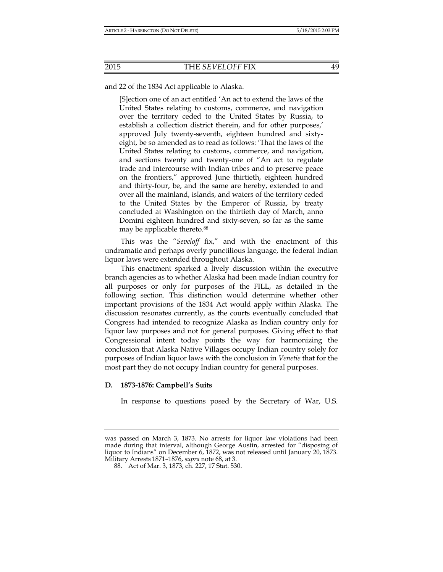and 22 of the 1834 Act applicable to Alaska.

[S]ection one of an act entitled 'An act to extend the laws of the United States relating to customs, commerce, and navigation over the territory ceded to the United States by Russia, to establish a collection district therein, and for other purposes,' approved July twenty-seventh, eighteen hundred and sixtyeight, be so amended as to read as follows: 'That the laws of the United States relating to customs, commerce, and navigation, and sections twenty and twenty-one of "An act to regulate trade and intercourse with Indian tribes and to preserve peace on the frontiers," approved June thirtieth, eighteen hundred and thirty-four, be, and the same are hereby, extended to and over all the mainland, islands, and waters of the territory ceded to the United States by the Emperor of Russia, by treaty concluded at Washington on the thirtieth day of March, anno Domini eighteen hundred and sixty-seven, so far as the same may be applicable thereto.<sup>88</sup>

This was the "*Seveloff* fix," and with the enactment of this undramatic and perhaps overly punctilious language, the federal Indian liquor laws were extended throughout Alaska.

This enactment sparked a lively discussion within the executive branch agencies as to whether Alaska had been made Indian country for all purposes or only for purposes of the FILL, as detailed in the following section. This distinction would determine whether other important provisions of the 1834 Act would apply within Alaska. The discussion resonates currently, as the courts eventually concluded that Congress had intended to recognize Alaska as Indian country only for liquor law purposes and not for general purposes. Giving effect to that Congressional intent today points the way for harmonizing the conclusion that Alaska Native Villages occupy Indian country solely for purposes of Indian liquor laws with the conclusion in *Venetie* that for the most part they do not occupy Indian country for general purposes.

#### **D. 1873-1876: Campbell's Suits**

In response to questions posed by the Secretary of War, U.S.

was passed on March 3, 1873. No arrests for liquor law violations had been made during that interval, although George Austin, arrested for "disposing of liquor to Indians" on December 6, 1872, was not released until January 20, 1873. Military Arrests 1871–1876, *supra* note 68, at 3.

 <sup>88.</sup> Act of Mar. 3, 1873, ch. 227, 17 Stat. 530.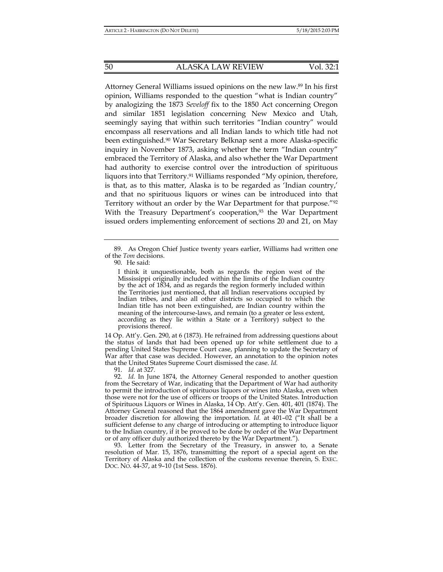Attorney General Williams issued opinions on the new law.89 In his first opinion, Williams responded to the question "what is Indian country" by analogizing the 1873 *Seveloff* fix to the 1850 Act concerning Oregon and similar 1851 legislation concerning New Mexico and Utah, seemingly saying that within such territories "Indian country" would encompass all reservations and all Indian lands to which title had not been extinguished.90 War Secretary Belknap sent a more Alaska-specific inquiry in November 1873, asking whether the term "Indian country" embraced the Territory of Alaska, and also whether the War Department had authority to exercise control over the introduction of spirituous liquors into that Territory.<sup>91</sup> Williams responded "My opinion, therefore, is that, as to this matter, Alaska is to be regarded as 'Indian country,' and that no spirituous liquors or wines can be introduced into that Territory without an order by the War Department for that purpose."92 With the Treasury Department's cooperation,<sup>93</sup> the War Department issued orders implementing enforcement of sections 20 and 21, on May

14 Op. Att'y. Gen. 290, at 6 (1873). He refrained from addressing questions about the status of lands that had been opened up for white settlement due to a pending United States Supreme Court case, planning to update the Secretary of War after that case was decided. However, an annotation to the opinion notes that the United States Supreme Court dismissed the case. *Id.*

91. *Id.* at 327.

 92. *Id.* In June 1874, the Attorney General responded to another question from the Secretary of War, indicating that the Department of War had authority to permit the introduction of spirituous liquors or wines into Alaska, even when those were not for the use of officers or troops of the United States. Introduction of Spirituous Liquors or Wines in Alaska, 14 Op. Att'y. Gen. 401, 401 (1874). The Attorney General reasoned that the 1864 amendment gave the War Department broader discretion for allowing the importation. *Id.* at 401–02 ("It shall be a sufficient defense to any charge of introducing or attempting to introduce liquor to the Indian country, if it be proved to be done by order of the War Department or of any officer duly authorized thereto by the War Department.").

 93. Letter from the Secretary of the Treasury, in answer to, a Senate resolution of Mar. 15, 1876, transmitting the report of a special agent on the Territory of Alaska and the collection of the customs revenue therein, S. EXEC. DOC. NO. 44-37, at 9–10 (1st Sess. 1876).

 <sup>89.</sup> As Oregon Chief Justice twenty years earlier, Williams had written one of the *Tom* decisions.

 <sup>90.</sup> He said:

I think it unquestionable, both as regards the region west of the Mississippi originally included within the limits of the Indian country by the act of 1834, and as regards the region formerly included within the Territories just mentioned, that all Indian reservations occupied by Indian tribes, and also all other districts so occupied to which the Indian title has not been extinguished, are Indian country within the meaning of the intercourse-laws, and remain (to a greater or less extent, according as they lie within a State or a Territory) subject to the provisions thereof.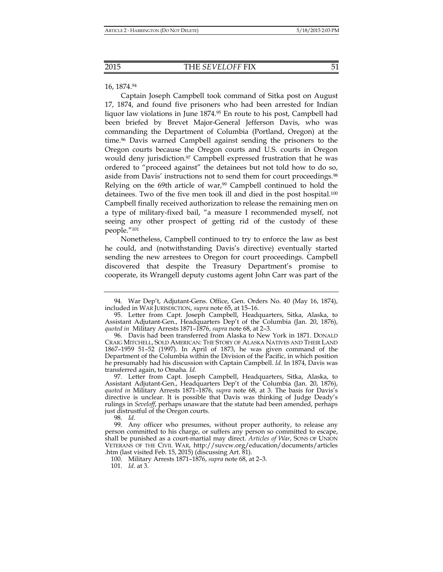#### 16, 1874.94

Captain Joseph Campbell took command of Sitka post on August 17, 1874, and found five prisoners who had been arrested for Indian liquor law violations in June  $1874<sup>95</sup>$  En route to his post, Campbell had been briefed by Brevet Major-General Jefferson Davis, who was commanding the Department of Columbia (Portland, Oregon) at the time.96 Davis warned Campbell against sending the prisoners to the Oregon courts because the Oregon courts and U.S. courts in Oregon would deny jurisdiction.<sup>97</sup> Campbell expressed frustration that he was ordered to "proceed against" the detainees but not told how to do so, aside from Davis' instructions not to send them for court proceedings.98 Relying on the 69th article of war, $99$  Campbell continued to hold the detainees. Two of the five men took ill and died in the post hospital.100 Campbell finally received authorization to release the remaining men on a type of military-fixed bail, "a measure I recommended myself, not seeing any other prospect of getting rid of the custody of these people."101

Nonetheless, Campbell continued to try to enforce the law as best he could, and (notwithstanding Davis's directive) eventually started sending the new arrestees to Oregon for court proceedings. Campbell discovered that despite the Treasury Department's promise to cooperate, its Wrangell deputy customs agent John Carr was part of the

 <sup>94.</sup> War Dep't, Adjutant-Gens. Office, Gen. Orders No. 40 (May 16, 1874), included in WAR JURISDICTION, *supra* note 65, at 15–16.

 <sup>95.</sup> Letter from Capt. Joseph Campbell, Headquarters, Sitka, Alaska, to Assistant Adjutant-Gen., Headquarters Dep't of the Columbia (Jan. 20, 1876), *quoted in* Military Arrests 1871–1876, *supra* note 68, at 2–3.

 <sup>96.</sup> Davis had been transferred from Alaska to New York in 1871. DONALD CRAIG MITCHELL, SOLD AMERICAN: THE STORY OF ALASKA NATIVES AND THEIR LAND 1867–1959 51–52 (1997). In April of 1873, he was given command of the Department of the Columbia within the Division of the Pacific, in which position he presumably had his discussion with Captain Campbell. *Id.* In 1874, Davis was transferred again, to Omaha. *Id.*

 <sup>97.</sup> Letter from Capt. Joseph Campbell, Headquarters, Sitka, Alaska, to Assistant Adjutant-Gen., Headquarters Dep't of the Columbia (Jan. 20, 1876), *quoted in* Military Arrests 1871–1876, *supra* note 68, at 3. The basis for Davis's directive is unclear. It is possible that Davis was thinking of Judge Deady's rulings in *Seveloff*, perhaps unaware that the statute had been amended, perhaps just distrustful of the Oregon courts.

 <sup>98.</sup> *Id.*

 <sup>99.</sup> Any officer who presumes, without proper authority, to release any person committed to his charge, or suffers any person so committed to escape, shall be punished as a court-martial may direct. *Articles of War*, SONS OF UNION VETERANS OF THE CIVIL WAR, http://suvcw.org/education/documents/articles .htm (last visited Feb. 15, 2015) (discussing Art. 81).

 <sup>100.</sup> Military Arrests 1871–1876, *supra* note 68, at 2–3.

 <sup>101.</sup> *Id*. at 3.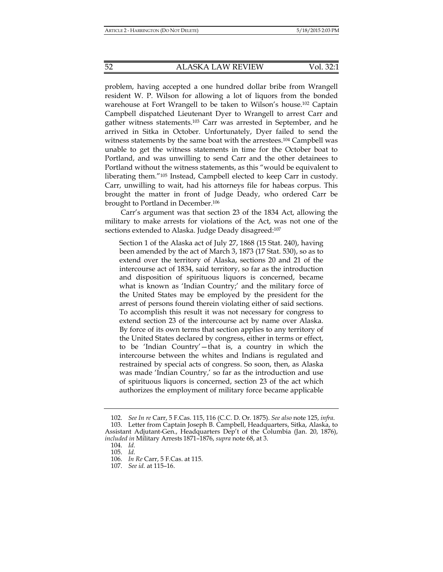problem, having accepted a one hundred dollar bribe from Wrangell resident W. P. Wilson for allowing a lot of liquors from the bonded warehouse at Fort Wrangell to be taken to Wilson's house.102 Captain Campbell dispatched Lieutenant Dyer to Wrangell to arrest Carr and gather witness statements.103 Carr was arrested in September, and he arrived in Sitka in October. Unfortunately, Dyer failed to send the witness statements by the same boat with the arrestees.104 Campbell was unable to get the witness statements in time for the October boat to Portland, and was unwilling to send Carr and the other detainees to Portland without the witness statements, as this "would be equivalent to liberating them."105 Instead, Campbell elected to keep Carr in custody. Carr, unwilling to wait, had his attorneys file for habeas corpus. This brought the matter in front of Judge Deady, who ordered Carr be brought to Portland in December.106

Carr's argument was that section 23 of the 1834 Act, allowing the military to make arrests for violations of the Act, was not one of the sections extended to Alaska. Judge Deady disagreed:<sup>107</sup>

Section 1 of the Alaska act of July 27, 1868 (15 Stat. 240), having been amended by the act of March 3, 1873 (17 Stat. 530), so as to extend over the territory of Alaska, sections 20 and 21 of the intercourse act of 1834, said territory, so far as the introduction and disposition of spirituous liquors is concerned, became what is known as 'Indian Country;' and the military force of the United States may be employed by the president for the arrest of persons found therein violating either of said sections. To accomplish this result it was not necessary for congress to extend section 23 of the intercourse act by name over Alaska. By force of its own terms that section applies to any territory of the United States declared by congress, either in terms or effect, to be 'Indian Country'—that is, a country in which the intercourse between the whites and Indians is regulated and restrained by special acts of congress. So soon, then, as Alaska was made 'Indian Country,' so far as the introduction and use of spirituous liquors is concerned, section 23 of the act which authorizes the employment of military force became applicable

 <sup>102.</sup> *See In re* Carr, 5 F.Cas. 115, 116 (C.C. D. Or. 1875). *See also* note 125, *infra*. 103. Letter from Captain Joseph B. Campbell, Headquarters, Sitka, Alaska, to Assistant Adjutant-Gen., Headquarters Dep't of the Columbia (Jan. 20, 1876), *included in* Military Arrests 1871–1876, *supra* note 68, at 3.

 <sup>104.</sup> *Id.*

 <sup>105.</sup> *Id.*

 <sup>106.</sup> *In Re* Carr, 5 F.Cas. at 115.

 <sup>107.</sup> *See id.* at 115–16.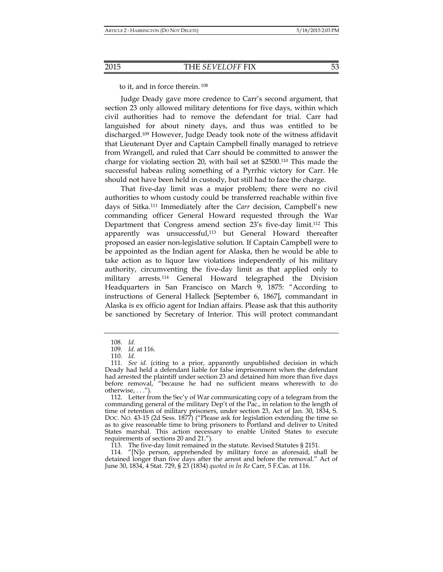to it, and in force therein. 108

Judge Deady gave more credence to Carr's second argument, that section 23 only allowed military detentions for five days, within which civil authorities had to remove the defendant for trial. Carr had languished for about ninety days, and thus was entitled to be discharged.109 However, Judge Deady took note of the witness affidavit that Lieutenant Dyer and Captain Campbell finally managed to retrieve from Wrangell, and ruled that Carr should be committed to answer the charge for violating section 20, with bail set at \$2500.110 This made the successful habeas ruling something of a Pyrrhic victory for Carr. He should not have been held in custody, but still had to face the charge.

That five-day limit was a major problem; there were no civil authorities to whom custody could be transferred reachable within five days of Sitka.111 Immediately after the *Carr* decision, Campbell's new commanding officer General Howard requested through the War Department that Congress amend section 23's five-day limit.112 This apparently was unsuccessful,<sup>113</sup> but General Howard thereafter proposed an easier non-legislative solution. If Captain Campbell were to be appointed as the Indian agent for Alaska, then he would be able to take action as to liquor law violations independently of his military authority, circumventing the five-day limit as that applied only to military arrests.114 General Howard telegraphed the Division Headquarters in San Francisco on March 9, 1875: "According to instructions of General Halleck [September 6, 1867], commandant in Alaska is ex officio agent for Indian affairs. Please ask that this authority be sanctioned by Secretary of Interior. This will protect commandant

113. The five-day limit remained in the statute. Revised Statutes § 2151.

 114. "[N]o person, apprehended by military force as aforesaid, shall be detained longer than five days after the arrest and before the removal." Act of June 30, 1834, 4 Stat. 729, § 23 (1834) *quoted in In Re* Carr, 5 F.Cas. at 116.

 <sup>108.</sup> *Id.*

 <sup>109.</sup> *Id.* at 116.

 <sup>110.</sup> *Id.*

 <sup>111.</sup> *See id.* (citing to a prior, apparently unpublished decision in which Deady had held a defendant liable for false imprisonment when the defendant had arrested the plaintiff under section 23 and detained him more than five days before removal, "because he had no sufficient means wherewith to do otherwise, . . .").

<sup>112.</sup> Letter from the Sec'y of War communicating copy of a telegram from the commanding general of the military Dep't of the Pac., in relation to the length of time of retention of military prisoners, under section 23, Act of Jan. 30, 1834, S. DOC. NO. 43-15 (2d Sess. 1877) ("Please ask for legislation extending the time so as to give reasonable time to bring prisoners to Portland and deliver to United States marshal. This action necessary to enable United States to execute requirements of sections 20 and 21.").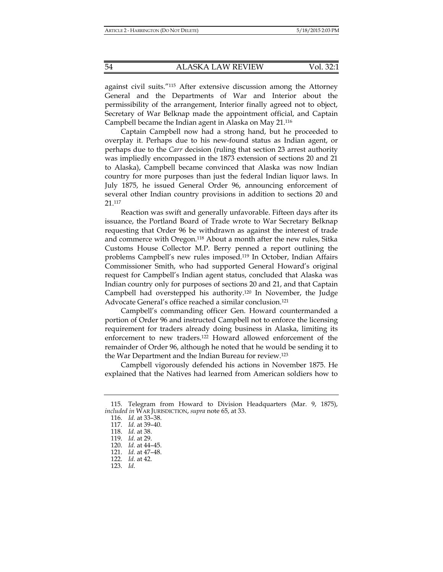against civil suits."115 After extensive discussion among the Attorney General and the Departments of War and Interior about the permissibility of the arrangement, Interior finally agreed not to object, Secretary of War Belknap made the appointment official, and Captain Campbell became the Indian agent in Alaska on May 21.116

Captain Campbell now had a strong hand, but he proceeded to overplay it. Perhaps due to his new-found status as Indian agent, or perhaps due to the *Carr* decision (ruling that section 23 arrest authority was impliedly encompassed in the 1873 extension of sections 20 and 21 to Alaska), Campbell became convinced that Alaska was now Indian country for more purposes than just the federal Indian liquor laws. In July 1875, he issued General Order 96, announcing enforcement of several other Indian country provisions in addition to sections 20 and 21.117

Reaction was swift and generally unfavorable. Fifteen days after its issuance, the Portland Board of Trade wrote to War Secretary Belknap requesting that Order 96 be withdrawn as against the interest of trade and commerce with Oregon.<sup>118</sup> About a month after the new rules, Sitka Customs House Collector M.P. Berry penned a report outlining the problems Campbell's new rules imposed.119 In October, Indian Affairs Commissioner Smith, who had supported General Howard's original request for Campbell's Indian agent status, concluded that Alaska was Indian country only for purposes of sections 20 and 21, and that Captain Campbell had overstepped his authority.<sup>120</sup> In November, the Judge Advocate General's office reached a similar conclusion.121

Campbell's commanding officer Gen. Howard countermanded a portion of Order 96 and instructed Campbell not to enforce the licensing requirement for traders already doing business in Alaska, limiting its enforcement to new traders.122 Howard allowed enforcement of the remainder of Order 96, although he noted that he would be sending it to the War Department and the Indian Bureau for review.123

Campbell vigorously defended his actions in November 1875. He explained that the Natives had learned from American soldiers how to

 <sup>115.</sup> Telegram from Howard to Division Headquarters (Mar. 9, 1875), *included in* WAR JURISDICTION, *supra* note 65, at 33.

 <sup>116.</sup> *Id.* at 33–38.

 <sup>117.</sup> *Id.* at 39–40.

 <sup>118.</sup> *Id.* at 38.

 <sup>119.</sup> *Id.* at 29.

 <sup>120.</sup> *Id.* at 44–45.

 <sup>121.</sup> *Id.* at 47–48.

 <sup>122.</sup> *Id.* at 42.

 <sup>123.</sup> *Id.*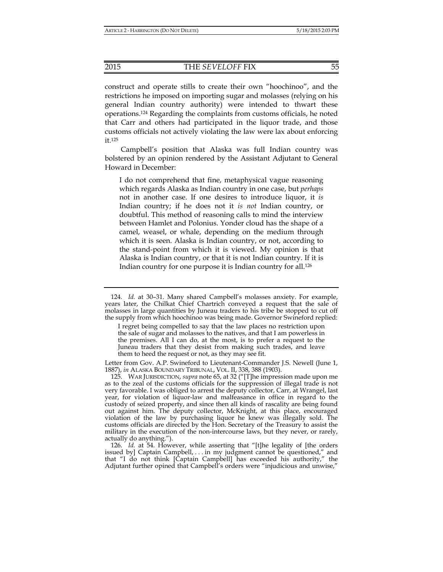construct and operate stills to create their own "hoochinoo", and the restrictions he imposed on importing sugar and molasses (relying on his general Indian country authority) were intended to thwart these operations.124 Regarding the complaints from customs officials, he noted that Carr and others had participated in the liquor trade, and those customs officials not actively violating the law were lax about enforcing it.125

Campbell's position that Alaska was full Indian country was bolstered by an opinion rendered by the Assistant Adjutant to General Howard in December:

I do not comprehend that fine, metaphysical vague reasoning which regards Alaska as Indian country in one case, but *perhaps* not in another case. If one desires to introduce liquor, it *is*  Indian country; if he does not it *is not* Indian country, or doubtful. This method of reasoning calls to mind the interview between Hamlet and Polonius. Yonder cloud has the shape of a camel, weasel, or whale, depending on the medium through which it is seen. Alaska is Indian country, or not, according to the stand-point from which it is viewed. My opinion is that Alaska is Indian country, or that it is not Indian country. If it is Indian country for one purpose it is Indian country for all.126

Letter from Gov. A.P. Swineford to Lieutenant-Commander J.S. Newell (June 1, 1887), *in* ALASKA BOUNDARY TRIBUNAL, VOL. II, 338, 388 (1903).

 125. WAR JURISDICTION, *supra* note 65, at 32 ("[T]he impression made upon me as to the zeal of the customs officials for the suppression of illegal trade is not very favorable. I was obliged to arrest the deputy collector, Carr, at Wrangel, last year, for violation of liquor-law and malfeasance in office in regard to the custody of seized property, and since then all kinds of rascality are being found out against him. The deputy collector, McKnight, at this place, encouraged violation of the law by purchasing liquor he knew was illegally sold. The customs officials are directed by the Hon. Secretary of the Treasury to assist the military in the execution of the non-intercourse laws, but they never, or rarely, actually do anything.").

 126. *Id.* at 54. However, while asserting that "[t]he legality of [the orders issued by] Captain Campbell, . . . in my judgment cannot be questioned," and that "I do not think [Captain Campbell] has exceeded his authority," the Adjutant further opined that Campbell's orders were "injudicious and unwise,"

 <sup>124.</sup> *Id.* at 30–31. Many shared Campbell's molasses anxiety. For example, years later, the Chilkat Chief Chartrich conveyed a request that the sale of molasses in large quantities by Juneau traders to his tribe be stopped to cut off the supply from which hoochinoo was being made. Governor Swineford replied:

I regret being compelled to say that the law places no restriction upon the sale of sugar and molasses to the natives, and that I am powerless in the premises. All I can do, at the most, is to prefer a request to the Juneau traders that they desist from making such trades, and leave them to heed the request or not, as they may see fit.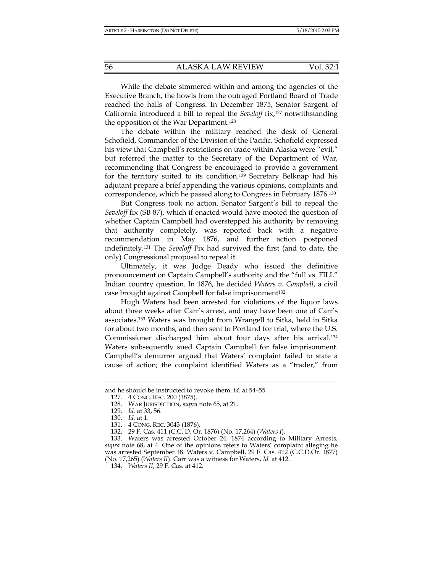While the debate simmered within and among the agencies of the Executive Branch, the howls from the outraged Portland Board of Trade reached the halls of Congress. In December 1875, Senator Sargent of California introduced a bill to repeal the *Seveloff* fix,127 notwithstanding the opposition of the War Department.128

The debate within the military reached the desk of General Schofield, Commander of the Division of the Pacific. Schofield expressed his view that Campbell's restrictions on trade within Alaska were "evil," but referred the matter to the Secretary of the Department of War, recommending that Congress be encouraged to provide a government for the territory suited to its condition.129 Secretary Belknap had his adjutant prepare a brief appending the various opinions, complaints and correspondence, which he passed along to Congress in February 1876.130

But Congress took no action. Senator Sargent's bill to repeal the *Seveloff* fix (SB 87), which if enacted would have mooted the question of whether Captain Campbell had overstepped his authority by removing that authority completely, was reported back with a negative recommendation in May 1876, and further action postponed indefinitely.131 The *Seveloff* Fix had survived the first (and to date, the only) Congressional proposal to repeal it.

Ultimately, it was Judge Deady who issued the definitive pronouncement on Captain Campbell's authority and the "full vs. FILL" Indian country question. In 1876, he decided *Waters v. Campbell*, a civil case brought against Campbell for false imprisonment<sup>132</sup>

Hugh Waters had been arrested for violations of the liquor laws about three weeks after Carr's arrest, and may have been one of Carr's associates.133 Waters was brought from Wrangell to Sitka, held in Sitka for about two months, and then sent to Portland for trial, where the U.S. Commissioner discharged him about four days after his arrival.134 Waters subsequently sued Captain Campbell for false imprisonment. Campbell's demurrer argued that Waters' complaint failed to state a cause of action; the complaint identified Waters as a "trader," from

 133. Waters was arrested October 24, 1874 according to Military Arrests, *supra* note 68, at 4. One of the opinions refers to Waters' complaint alleging he was arrested September 18. Waters v. Campbell, 29 F. Cas. 412 (C.C.D.Or. 1877) (No. 17,265) (*Waters II*). Carr was a witness for Waters, *Id.* at 412.

134. *Waters II*, 29 F. Cas. at 412.

and he should be instructed to revoke them. *Id.* at 54–55.

 <sup>127. 4</sup> CONG. REC. 200 (1875).

 <sup>128.</sup> WAR JURISDICTION, *supra* note 65, at 21.

 <sup>129.</sup> *Id.* at 33, 56.

 <sup>130.</sup> *Id.* at 1.

 <sup>131. 4</sup> CONG. REC. 3043 (1876).

 <sup>132. 29</sup> F. Cas. 411 (C.C. D. Or. 1876) (No. 17,264) (*Waters I*).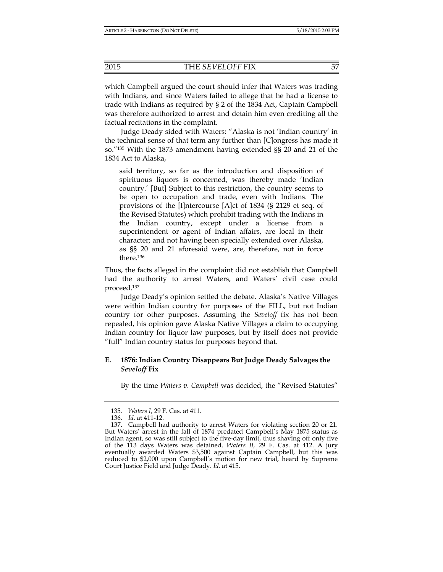which Campbell argued the court should infer that Waters was trading with Indians, and since Waters failed to allege that he had a license to trade with Indians as required by § 2 of the 1834 Act, Captain Campbell was therefore authorized to arrest and detain him even crediting all the factual recitations in the complaint.

Judge Deady sided with Waters: "Alaska is not 'Indian country' in the technical sense of that term any further than [C]ongress has made it so."135 With the 1873 amendment having extended §§ 20 and 21 of the 1834 Act to Alaska,

said territory, so far as the introduction and disposition of spirituous liquors is concerned, was thereby made 'Indian country.' [But] Subject to this restriction, the country seems to be open to occupation and trade, even with Indians. The provisions of the [I]ntercourse [A]ct of 1834 (§ 2129 et seq. of the Revised Statutes) which prohibit trading with the Indians in the Indian country, except under a license from a superintendent or agent of Indian affairs, are local in their character; and not having been specially extended over Alaska, as §§ 20 and 21 aforesaid were, are, therefore, not in force there.136

Thus, the facts alleged in the complaint did not establish that Campbell had the authority to arrest Waters, and Waters' civil case could proceed.137

Judge Deady's opinion settled the debate. Alaska's Native Villages were within Indian country for purposes of the FILL, but not Indian country for other purposes. Assuming the *Seveloff* fix has not been repealed, his opinion gave Alaska Native Villages a claim to occupying Indian country for liquor law purposes, but by itself does not provide "full" Indian country status for purposes beyond that.

## **E. 1876: Indian Country Disappears But Judge Deady Salvages the**  *Seveloff* **Fix**

By the time *Waters v. Campbell* was decided, the "Revised Statutes"

 <sup>135.</sup> *Waters I*, 29 F. Cas. at 411.

 <sup>136.</sup> *Id.* at 411-12.

 <sup>137.</sup> Campbell had authority to arrest Waters for violating section 20 or 21. But Waters' arrest in the fall of 1874 predated Campbell's May 1875 status as Indian agent, so was still subject to the five-day limit, thus shaving off only five of the 113 days Waters was detained. *Waters II,* 29 F. Cas. at 412. A jury eventually awarded Waters \$3,500 against Captain Campbell, but this was reduced to \$2,000 upon Campbell's motion for new trial, heard by Supreme Court Justice Field and Judge Deady. *Id.* at 415.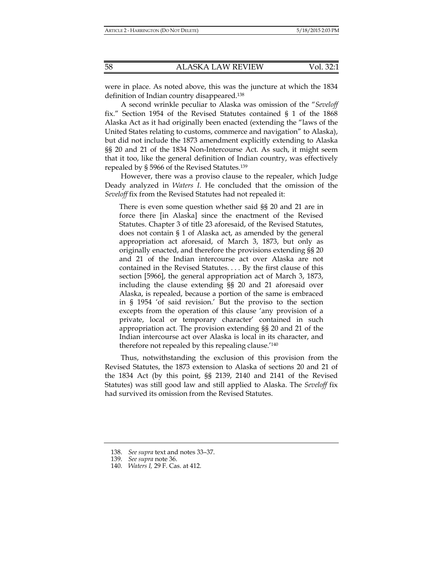were in place. As noted above, this was the juncture at which the 1834 definition of Indian country disappeared.138

A second wrinkle peculiar to Alaska was omission of the "*Seveloff* fix." Section 1954 of the Revised Statutes contained § 1 of the 1868 Alaska Act as it had originally been enacted (extending the "laws of the United States relating to customs, commerce and navigation" to Alaska), but did not include the 1873 amendment explicitly extending to Alaska §§ 20 and 21 of the 1834 Non-Intercourse Act. As such, it might seem that it too, like the general definition of Indian country, was effectively repealed by § 5966 of the Revised Statutes.139

However, there was a proviso clause to the repealer, which Judge Deady analyzed in *Waters I*. He concluded that the omission of the *Seveloff* fix from the Revised Statutes had not repealed it:

There is even some question whether said §§ 20 and 21 are in force there [in Alaska] since the enactment of the Revised Statutes. Chapter 3 of title 23 aforesaid, of the Revised Statutes, does not contain § 1 of Alaska act, as amended by the general appropriation act aforesaid, of March 3, 1873, but only as originally enacted, and therefore the provisions extending §§ 20 and 21 of the Indian intercourse act over Alaska are not contained in the Revised Statutes. . . . By the first clause of this section [5966], the general appropriation act of March 3, 1873, including the clause extending §§ 20 and 21 aforesaid over Alaska, is repealed, because a portion of the same is embraced in § 1954 'of said revision.' But the proviso to the section excepts from the operation of this clause 'any provision of a private, local or temporary character' contained in such appropriation act. The provision extending §§ 20 and 21 of the Indian intercourse act over Alaska is local in its character, and therefore not repealed by this repealing clause.'140

Thus, notwithstanding the exclusion of this provision from the Revised Statutes, the 1873 extension to Alaska of sections 20 and 21 of the 1834 Act (by this point, §§ 2139, 2140 and 2141 of the Revised Statutes) was still good law and still applied to Alaska. The *Seveloff* fix had survived its omission from the Revised Statutes.

 <sup>138.</sup> *See supra* text and notes 33–37.

 <sup>139.</sup> *See supra* note 36.

 <sup>140.</sup> *Waters I,* 29 F. Cas. at 412.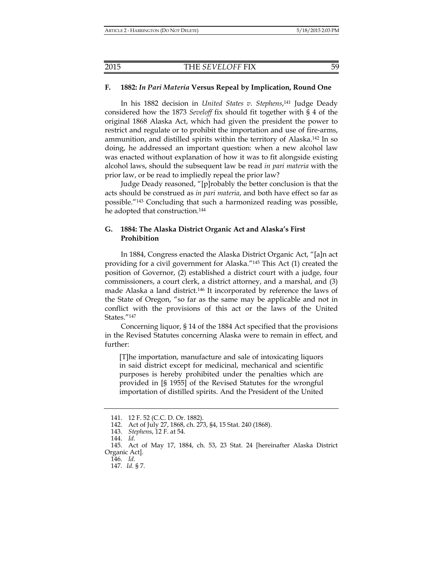#### **F. 1882:** *In Pari Materia* **Versus Repeal by Implication, Round One**

In his 1882 decision in *United States v. Stephens*, <sup>141</sup> Judge Deady considered how the 1873 *Seveloff* fix should fit together with § 4 of the original 1868 Alaska Act, which had given the president the power to restrict and regulate or to prohibit the importation and use of fire-arms, ammunition, and distilled spirits within the territory of Alaska.142 In so doing, he addressed an important question: when a new alcohol law was enacted without explanation of how it was to fit alongside existing alcohol laws, should the subsequent law be read *in pari materia* with the prior law, or be read to impliedly repeal the prior law?

Judge Deady reasoned, "[p]robably the better conclusion is that the acts should be construed as *in pari materia*, and both have effect so far as possible."143 Concluding that such a harmonized reading was possible, he adopted that construction.<sup>144</sup>

## **G. 1884: The Alaska District Organic Act and Alaska's First Prohibition**

In 1884, Congress enacted the Alaska District Organic Act, "[a]n act providing for a civil government for Alaska."145 This Act (1) created the position of Governor, (2) established a district court with a judge, four commissioners, a court clerk, a district attorney, and a marshal, and (3) made Alaska a land district.146 It incorporated by reference the laws of the State of Oregon, "so far as the same may be applicable and not in conflict with the provisions of this act or the laws of the United States."147

Concerning liquor, § 14 of the 1884 Act specified that the provisions in the Revised Statutes concerning Alaska were to remain in effect, and further:

[T]he importation, manufacture and sale of intoxicating liquors in said district except for medicinal, mechanical and scientific purposes is hereby prohibited under the penalties which are provided in [§ 1955] of the Revised Statutes for the wrongful importation of distilled spirits. And the President of the United

 <sup>141. 12</sup> F. 52 (C.C. D. Or. 1882).

 <sup>142.</sup> Act of July 27, 1868, ch. 273, §4, 15 Stat. 240 (1868).

 <sup>143.</sup> *Stephen*s, 12 F. at 54.

 <sup>144.</sup> *Id.*

 <sup>145.</sup> Act of May 17, 1884, ch. 53, 23 Stat. 24 [hereinafter Alaska District Organic Act].

 <sup>146.</sup> *Id.*

 <sup>147.</sup> *Id.* § 7.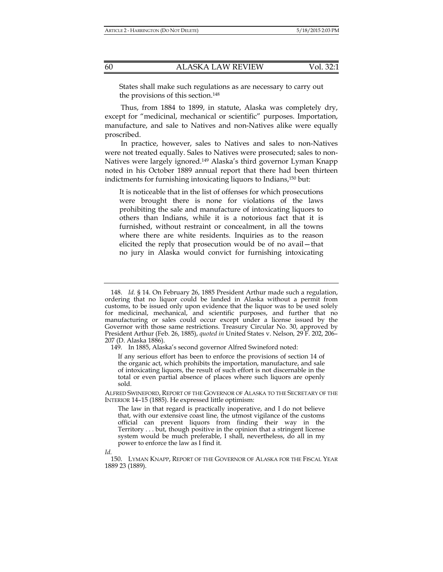States shall make such regulations as are necessary to carry out the provisions of this section.148

Thus, from 1884 to 1899, in statute, Alaska was completely dry, except for "medicinal, mechanical or scientific" purposes. Importation, manufacture, and sale to Natives and non-Natives alike were equally proscribed.

In practice, however, sales to Natives and sales to non-Natives were not treated equally. Sales to Natives were prosecuted; sales to non-Natives were largely ignored.149 Alaska's third governor Lyman Knapp noted in his October 1889 annual report that there had been thirteen indictments for furnishing intoxicating liquors to Indians,150 but:

It is noticeable that in the list of offenses for which prosecutions were brought there is none for violations of the laws prohibiting the sale and manufacture of intoxicating liquors to others than Indians, while it is a notorious fact that it is furnished, without restraint or concealment, in all the towns where there are white residents. Inquiries as to the reason elicited the reply that prosecution would be of no avail—that no jury in Alaska would convict for furnishing intoxicating

149. In 1885, Alaska's second governor Alfred Swineford noted:

If any serious effort has been to enforce the provisions of section 14 of the organic act, which prohibits the importation, manufacture, and sale of intoxicating liquors, the result of such effort is not discernable in the total or even partial absence of places where such liquors are openly sold.

ALFRED SWINEFORD, REPORT OF THE GOVERNOR OF ALASKA TO THE SECRETARY OF THE INTERIOR 14–15 (1885). He expressed little optimism:

The law in that regard is practically inoperative, and I do not believe that, with our extensive coast line, the utmost vigilance of the customs official can prevent liquors from finding their way in the Territory . . . but, though positive in the opinion that a stringent license system would be much preferable, I shall, nevertheless, do all in my power to enforce the law as I find it.

*Id.*

 <sup>148.</sup> *Id.* § 14. On February 26, 1885 President Arthur made such a regulation, ordering that no liquor could be landed in Alaska without a permit from customs, to be issued only upon evidence that the liquor was to be used solely for medicinal, mechanical, and scientific purposes, and further that no manufacturing or sales could occur except under a license issued by the Governor with those same restrictions. Treasury Circular No. 30, approved by President Arthur (Feb. 26, 1885), *quoted in* United States v. Nelson*,* 29 F. 202, 206– 207 (D. Alaska 1886).

 <sup>150.</sup> LYMAN KNAPP, REPORT OF THE GOVERNOR OF ALASKA FOR THE FISCAL YEAR 1889 23 (1889).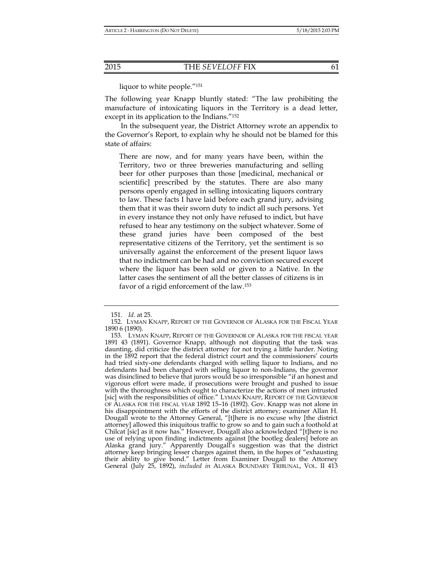liquor to white people."151

The following year Knapp bluntly stated: "The law prohibiting the manufacture of intoxicating liquors in the Territory is a dead letter, except in its application to the Indians."152

In the subsequent year, the District Attorney wrote an appendix to the Governor's Report, to explain why he should not be blamed for this state of affairs:

There are now, and for many years have been, within the Territory, two or three breweries manufacturing and selling beer for other purposes than those [medicinal, mechanical or scientific] prescribed by the statutes. There are also many persons openly engaged in selling intoxicating liquors contrary to law. These facts I have laid before each grand jury, advising them that it was their sworn duty to indict all such persons. Yet in every instance they not only have refused to indict, but have refused to hear any testimony on the subject whatever. Some of these grand juries have been composed of the best representative citizens of the Territory, yet the sentiment is so universally against the enforcement of the present liquor laws that no indictment can be had and no conviction secured except where the liquor has been sold or given to a Native. In the latter cases the sentiment of all the better classes of citizens is in favor of a rigid enforcement of the law.153

 <sup>151.</sup> *Id.* at 25.

 <sup>152.</sup> LYMAN KNAPP, REPORT OF THE GOVERNOR OF ALASKA FOR THE FISCAL YEAR 1890 6 (1890).

 <sup>153.</sup> LYMAN KNAPP, REPORT OF THE GOVERNOR OF ALASKA FOR THE FISCAL YEAR 1891 43 (1891). Governor Knapp, although not disputing that the task was daunting, did criticize the district attorney for not trying a little harder. Noting in the 1892 report that the federal district court and the commissioners' courts had tried sixty-one defendants charged with selling liquor to Indians, and no defendants had been charged with selling liquor to non-Indians, the governor was disinclined to believe that jurors would be so irresponsible "if an honest and vigorous effort were made, if prosecutions were brought and pushed to issue with the thoroughness which ought to characterize the actions of men intrusted [sic] with the responsibilities of office." LYMAN KNAPP, REPORT OF THE GOVERNOR OF ALASKA FOR THE FISCAL YEAR 1892 15–16 (1892). Gov. Knapp was not alone in his disappointment with the efforts of the district attorney; examiner Allan H. Dougall wrote to the Attorney General, "[t]here is no excuse why [the district attorney] allowed this iniquitous traffic to grow so and to gain such a foothold at Chilcat [sic] as it now has." However, Dougall also acknowledged "[t]here is no use of relying upon finding indictments against [the bootleg dealers] before an Alaska grand jury." Apparently Dougall's suggestion was that the district attorney keep bringing lesser charges against them, in the hopes of "exhausting their ability to give bond." Letter from Examiner Dougall to the Attorney General (July 25, 1892), *included in* ALASKA BOUNDARY TRIBUNAL, VOL. II 413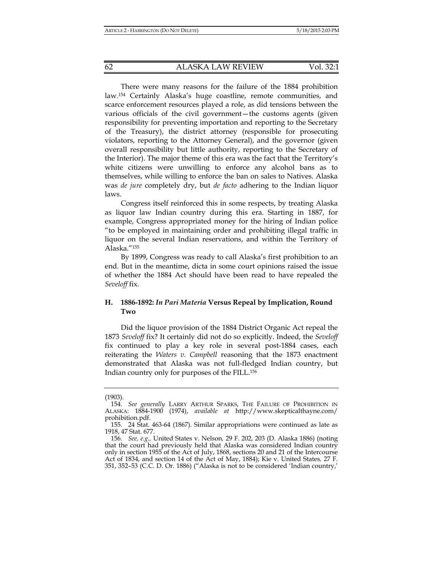There were many reasons for the failure of the 1884 prohibition law.154 Certainly Alaska's huge coastline, remote communities, and scarce enforcement resources played a role, as did tensions between the various officials of the civil government—the customs agents (given responsibility for preventing importation and reporting to the Secretary of the Treasury), the district attorney (responsible for prosecuting violators, reporting to the Attorney General), and the governor (given overall responsibility but little authority, reporting to the Secretary of the Interior). The major theme of this era was the fact that the Territory's white citizens were unwilling to enforce any alcohol bans as to themselves, while willing to enforce the ban on sales to Natives. Alaska was *de jure* completely dry, but *de facto* adhering to the Indian liquor laws.

Congress itself reinforced this in some respects, by treating Alaska as liquor law Indian country during this era. Starting in 1887, for example, Congress appropriated money for the hiring of Indian police "to be employed in maintaining order and prohibiting illegal traffic in liquor on the several Indian reservations, and within the Territory of Alaska."155

By 1899, Congress was ready to call Alaska's first prohibition to an end. But in the meantime, dicta in some court opinions raised the issue of whether the 1884 Act should have been read to have repealed the *Seveloff* fix.

## **H. 1886-1892:** *In Pari Materia* **Versus Repeal by Implication, Round Two**

Did the liquor provision of the 1884 District Organic Act repeal the 1873 *Seveloff* fix? It certainly did not do so explicitly. Indeed, the *Seveloff*  fix continued to play a key role in several post-1884 cases, each reiterating the *Waters v. Campbell* reasoning that the 1873 enactment demonstrated that Alaska was not full-fledged Indian country, but Indian country only for purposes of the FILL.156

<sup>(1903).</sup> 

 <sup>154.</sup> *See generally* LARRY ARTHUR SPARKS, THE FAILURE OF PROHIBITION IN ALASKA: 1884-1900 (1974), *available at* http://www.skepticalthayne.com/ prohibition.pdf.

 <sup>155. 24</sup> Stat. 463-64 (1867). Similar appropriations were continued as late as 1918, 47 Stat. 677.

 <sup>156.</sup> *See, e.g.,* United States v. Nelson*,* 29 F. 202, 203 (D. Alaska 1886) (noting that the court had previously held that Alaska was considered Indian country only in section 1955 of the Act of July, 1868, sections 20 and 21 of the Intercourse Act of 1834, and section 14 of the Act of May, 1884); Kie v. United States*,* 27 F. 351, 352–53 (C.C. D. Or. 1886) ("Alaska is not to be considered 'Indian country,'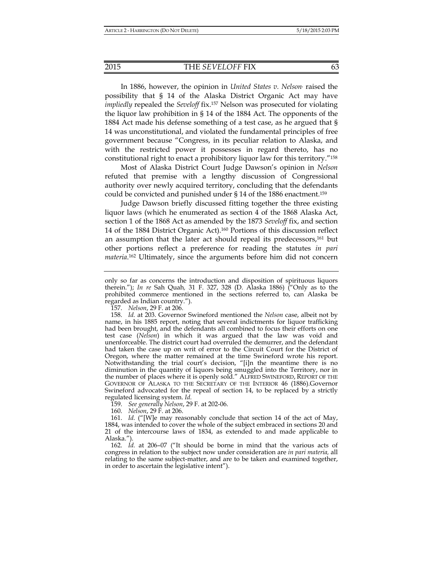#### 2015 THE *SEVELOFF* FIX 63

In 1886, however, the opinion in *United States v. Nelson*, raised the possibility that § 14 of the Alaska District Organic Act may have *impliedly* repealed the *Seveloff* fix.157 Nelson was prosecuted for violating the liquor law prohibition in § 14 of the 1884 Act. The opponents of the 1884 Act made his defense something of a test case, as he argued that § 14 was unconstitutional, and violated the fundamental principles of free government because "Congress, in its peculiar relation to Alaska, and with the restricted power it possesses in regard thereto, has no constitutional right to enact a prohibitory liquor law for this territory."158

Most of Alaska District Court Judge Dawson's opinion in *Nelson* refuted that premise with a lengthy discussion of Congressional authority over newly acquired territory, concluding that the defendants could be convicted and punished under § 14 of the 1886 enactment.159

Judge Dawson briefly discussed fitting together the three existing liquor laws (which he enumerated as section 4 of the 1868 Alaska Act, section 1 of the 1868 Act as amended by the 1873 *Seveloff* fix, and section 14 of the 1884 District Organic Act).160 Portions of this discussion reflect an assumption that the later act should repeal its predecessors,<sup>161</sup> but other portions reflect a preference for reading the statutes *in pari materia*. 162 Ultimately, since the arguments before him did not concern

159. *See generally Nelson*, 29 F. at 202-06.

160. *Nelson*, 29 F. at 206.

 161. *Id.* ("[W]e may reasonably conclude that section 14 of the act of May, 1884, was intended to cover the whole of the subject embraced in sections 20 and 21 of the intercourse laws of 1834, as extended to and made applicable to Alaska.").

 162. *Id.* at 206–07 ("It should be borne in mind that the various acts of congress in relation to the subject now under consideration are *in pari materia,* all relating to the same subject-matter, and are to be taken and examined together, in order to ascertain the legislative intent").

only so far as concerns the introduction and disposition of spirituous liquors therein."); *In re* Sah Quah*,* 31 F. 327, 328 (D. Alaska 1886) ("Only as to the prohibited commerce mentioned in the sections referred to, can Alaska be regarded as Indian country.").

 <sup>157.</sup> *Nelson*, 29 F. at 206.

 <sup>158.</sup> *Id.* at 203. Governor Swineford mentioned the *Nelson* case, albeit not by name, in his 1885 report, noting that several indictments for liquor trafficking had been brought, and the defendants all combined to focus their efforts on one test case (*Nelson*) in which it was argued that the law was void and unenforceable. The district court had overruled the demurrer, and the defendant had taken the case up on writ of error to the Circuit Court for the District of Oregon, where the matter remained at the time Swineford wrote his report. Notwithstanding the trial court's decision, "[i]n the meantime there is no diminution in the quantity of liquors being smuggled into the Territory, nor in the number of places where it is openly sold." ALFRED SWINEFORD, REPORT OF THE GOVERNOR OF ALASKA TO THE SECRETARY OF THE INTERIOR 46 (1886).Governor Swineford advocated for the repeal of section 14, to be replaced by a strictly regulated licensing system. *Id.*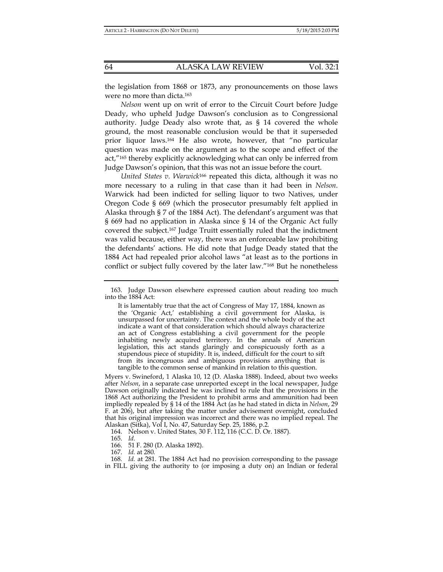the legislation from 1868 or 1873, any pronouncements on those laws were no more than dicta.163

*Nelson* went up on writ of error to the Circuit Court before Judge Deady, who upheld Judge Dawson's conclusion as to Congressional authority. Judge Deady also wrote that, as § 14 covered the whole ground, the most reasonable conclusion would be that it superseded prior liquor laws.164 He also wrote, however, that "no particular question was made on the argument as to the scope and effect of the act,"165 thereby explicitly acknowledging what can only be inferred from Judge Dawson's opinion, that this was not an issue before the court.

*United States v. Warwick*166 repeated this dicta, although it was no more necessary to a ruling in that case than it had been in *Nelson*. Warwick had been indicted for selling liquor to two Natives, under Oregon Code § 669 (which the prosecutor presumably felt applied in Alaska through § 7 of the 1884 Act). The defendant's argument was that § 669 had no application in Alaska since § 14 of the Organic Act fully covered the subject.167 Judge Truitt essentially ruled that the indictment was valid because, either way, there was an enforceable law prohibiting the defendants' actions. He did note that Judge Deady stated that the 1884 Act had repealed prior alcohol laws "at least as to the portions in conflict or subject fully covered by the later law."168 But he nonetheless

It is lamentably true that the act of Congress of May 17, 1884, known as the 'Organic Act,' establishing a civil government for Alaska, is unsurpassed for uncertainty. The context and the whole body of the act indicate a want of that consideration which should always characterize an act of Congress establishing a civil government for the people inhabiting newly acquired territory. In the annals of American legislation, this act stands glaringly and conspicuously forth as a stupendous piece of stupidity. It is, indeed, difficult for the court to sift from its incongruous and ambiguous provisions anything that is tangible to the common sense of mankind in relation to this question.

Myers v. Swineford, 1 Alaska 10, 12 (D. Alaska 1888). Indeed, about two weeks after *Nelson*, in a separate case unreported except in the local newspaper, Judge Dawson originally indicated he was inclined to rule that the provisions in the 1868 Act authorizing the President to prohibit arms and ammunition had been impliedly repealed by § 14 of the 1884 Act (as he had stated in dicta in *Nelson*, 29 F. at 206), but after taking the matter under advisement overnight, concluded that his original impression was incorrect and there was no implied repeal. The Alaskan (Sitka), Vol I, No. 47, Saturday Sep. 25, 1886, p.2.

164. Nelson v. United States*,* 30 F. 112, 116 (C.C. D. Or. 1887).

165. *Id.*

166. 51 F. 280 (D. Alaska 1892).

167. *Id.* at 280*.*

168*. Id.* at 281. The 1884 Act had no provision corresponding to the passage in FILL giving the authority to (or imposing a duty on) an Indian or federal

 <sup>163.</sup> Judge Dawson elsewhere expressed caution about reading too much into the 1884 Act: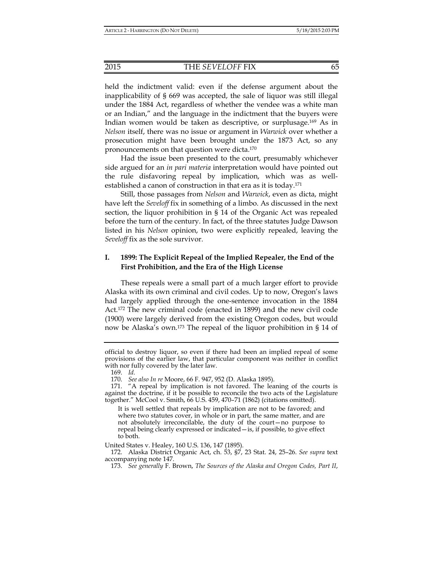held the indictment valid: even if the defense argument about the inapplicability of § 669 was accepted, the sale of liquor was still illegal under the 1884 Act, regardless of whether the vendee was a white man or an Indian," and the language in the indictment that the buyers were Indian women would be taken as descriptive, or surplusage.169 As in *Nelson* itself, there was no issue or argument in *Warwick* over whether a prosecution might have been brought under the 1873 Act, so any pronouncements on that question were dicta.170

Had the issue been presented to the court, presumably whichever side argued for an *in pari materia* interpretation would have pointed out the rule disfavoring repeal by implication, which was as wellestablished a canon of construction in that era as it is today.171

Still, those passages from *Nelson* and *Warwick*, even as dicta, might have left the *Seveloff* fix in something of a limbo. As discussed in the next section, the liquor prohibition in § 14 of the Organic Act was repealed before the turn of the century. In fact, of the three statutes Judge Dawson listed in his *Nelson* opinion, two were explicitly repealed, leaving the *Seveloff* fix as the sole survivor.

## **I. 1899: The Explicit Repeal of the Implied Repealer, the End of the First Prohibition, and the Era of the High License**

These repeals were a small part of a much larger effort to provide Alaska with its own criminal and civil codes. Up to now, Oregon's laws had largely applied through the one-sentence invocation in the 1884 Act.172 The new criminal code (enacted in 1899) and the new civil code (1900) were largely derived from the existing Oregon codes, but would now be Alaska's own.173 The repeal of the liquor prohibition in § 14 of

It is well settled that repeals by implication are not to be favored; and where two statutes cover, in whole or in part, the same matter, and are not absolutely irreconcilable, the duty of the court—no purpose to repeal being clearly expressed or indicated—is, if possible, to give effect to both.

United States v. Healey, 160 U.S. 136, 147 (1895).

official to destroy liquor, so even if there had been an implied repeal of some provisions of the earlier law, that particular component was neither in conflict with nor fully covered by the later law.

 <sup>169.</sup> *Id.*

 <sup>170.</sup> *See also In re* Moore, 66 F. 947, 952 (D. Alaska 1895).

 <sup>171. &</sup>quot;A repeal by implication is not favored. The leaning of the courts is against the doctrine, if it be possible to reconcile the two acts of the Legislature together." McCool v. Smith, 66 U.S. 459, 470–71 (1862) (citations omitted).

 <sup>172.</sup> Alaska District Organic Act, ch. 53, §7, 23 Stat. 24, 25–26. *See supra* text accompanying note 147.

 <sup>173.</sup> *See generally* F. Brown, *The Sources of the Alaska and Oregon Codes, Part II*,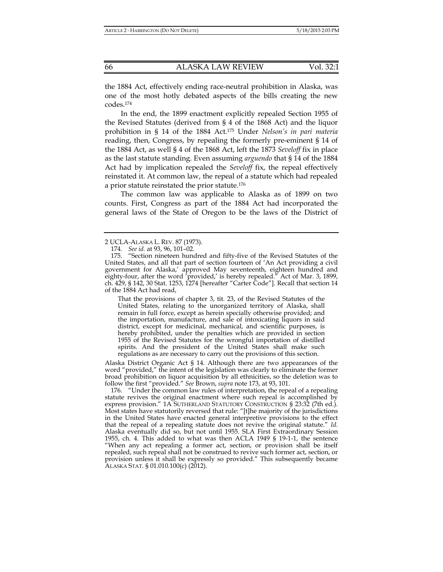the 1884 Act, effectively ending race-neutral prohibition in Alaska, was one of the most hotly debated aspects of the bills creating the new codes.174

In the end, the 1899 enactment explicitly repealed Section 1955 of the Revised Statutes (derived from § 4 of the 1868 Act) and the liquor prohibition in § 14 of the 1884 Act.175 Under *Nelson's in pari materia* reading, then, Congress, by repealing the formerly pre-eminent § 14 of the 1884 Act, as well § 4 of the 1868 Act, left the 1873 *Seveloff* fix in place as the last statute standing. Even assuming *arguendo* that § 14 of the 1884 Act had by implication repealed the *Seveloff* fix, the repeal effectively reinstated it. At common law, the repeal of a statute which had repealed a prior statute reinstated the prior statute.176

The common law was applicable to Alaska as of 1899 on two counts. First, Congress as part of the 1884 Act had incorporated the general laws of the State of Oregon to be the laws of the District of

That the provisions of chapter 3, tit. 23, of the Revised Statutes of the United States, relating to the unorganized territory of Alaska, shall remain in full force, except as herein specially otherwise provided; and the importation, manufacture, and sale of intoxicating liquors in said district, except for medicinal, mechanical, and scientific purposes, is hereby prohibited, under the penalties which are provided in section 1955 of the Revised Statutes for the wrongful importation of distilled spirits. And the president of the United States shall make such regulations as are necessary to carry out the provisions of this section.

Alaska District Organic Act § 14. Although there are two appearances of the word "provided," the intent of the legislation was clearly to eliminate the former broad prohibition on liquor acquisition by all ethnicities, so the deletion was to follow the first "provided." *See* Brown, *supra* note 173, at 93, 101.

 176. "Under the common law rules of interpretation, the repeal of a repealing statute revives the original enactment where such repeal is accomplished by express provision." 1A SUTHERLAND STATUTORY CONSTRUCTION § 23:32 (7th ed.). Most states have statutorily reversed that rule: "[t]he majority of the jurisdictions in the United States have enacted general interpretive provisions to the effect that the repeal of a repealing statute does not revive the original statute." *Id.*  Alaska eventually did so, but not until 1955. SLA First Extraordinary Session 1955, ch. 4. This added to what was then ACLA 1949 § 19-1-1, the sentence "When any act repealing a former act, section, or provision shall be itself repealed, such repeal shall not be construed to revive such former act, section, or provision unless it shall be expressly so provided." This subsequently became ALASKA STAT. § 01.010.100(c) (2012).

<sup>2</sup> UCLA-ALASKA L. REV. 87 (1973).

 <sup>174.</sup> *See id.* at 93, 96, 101–02.

 <sup>175. &</sup>quot;Section nineteen hundred and fifty-five of the Revised Statutes of the United States, and all that part of section fourteen of 'An Act providing a civil government for Alaska,' approved May seventeenth, eighteen hundred and eighty-four, after the word 'provided,' is hereby repealed." Act of Mar. 3, 1899, ch. 429, § 142, 30 Stat. 1253, 1274 [hereafter "Carter Code"]. Recall that section 14 of the 1884 Act had read,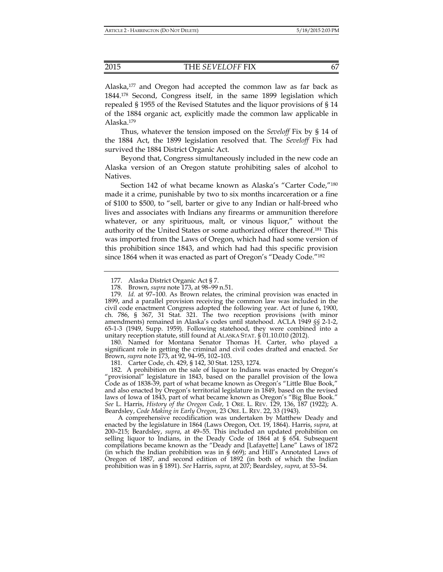Alaska,<sup>177</sup> and Oregon had accepted the common law as far back as 1844.178 Second, Congress itself, in the same 1899 legislation which repealed § 1955 of the Revised Statutes and the liquor provisions of § 14 of the 1884 organic act, explicitly made the common law applicable in Alaska.179

Thus, whatever the tension imposed on the *Seveloff* Fix by § 14 of the 1884 Act, the 1899 legislation resolved that. The *Seveloff* Fix had survived the 1884 District Organic Act.

Beyond that, Congress simultaneously included in the new code an Alaska version of an Oregon statute prohibiting sales of alcohol to Natives.

Section 142 of what became known as Alaska's "Carter Code,"180 made it a crime, punishable by two to six months incarceration or a fine of \$100 to \$500, to "sell, barter or give to any Indian or half-breed who lives and associates with Indians any firearms or ammunition therefore whatever, or any spirituous, malt, or vinous liquor," without the authority of the United States or some authorized officer thereof.181 This was imported from the Laws of Oregon, which had had some version of this prohibition since 1843, and which had had this specific provision since 1864 when it was enacted as part of Oregon's "Deady Code."182

 180. Named for Montana Senator Thomas H. Carter, who played a significant role in getting the criminal and civil codes drafted and enacted. *See* Brown, *supra* note 173, at 92, 94–95, 102–103.

181. Carter Code, ch. 429, § 142, 30 Stat. 1253, 1274.

 182. A prohibition on the sale of liquor to Indians was enacted by Oregon's "provisional" legislature in 1843, based on the parallel provision of the Iowa Code as of 1838-39, part of what became known as Oregon's "Little Blue Book," and also enacted by Oregon's territorial legislature in 1849, based on the revised laws of Iowa of 1843, part of what became known as Oregon's "Big Blue Book." *See* L. Harris, *History of the Oregon Code*, 1 ORE. L. REV. 129, 136, 187 (1922); A. Beardsley, *Code Making in Early Oregon*, 23 ORE. L. REV. 22, 33 (1943).

A comprehensive recodification was undertaken by Matthew Deady and enacted by the legislature in 1864 (Laws Oregon, Oct. 19, 1864). Harris, *supra*, at 200–215; Beardsley, *supra*, at 49–55. This included an updated prohibition on selling liquor to Indians, in the Deady Code of 1864 at § 654. Subsequent compilations became known as the "Deady and [Lafayette] Lane" Laws of 1872 (in which the Indian prohibition was in § 669); and Hill's Annotated Laws of Oregon of 1887, and second edition of 1892 (in both of which the Indian prohibition was in § 1891). *See* Harris, *supra*, at 207; Beardsley, *supra*, at 53–54.

 <sup>177.</sup> Alaska District Organic Act § 7.

 <sup>178.</sup> Brown, *supra* note 173, at 98–99 n.51.

 <sup>179.</sup> *Id.* at 97–100. As Brown relates, the criminal provision was enacted in 1899, and a parallel provision receiving the common law was included in the civil code enactment Congress adopted the following year. Act of June 6**,** 1900, ch. 786, § 367, 31 Stat. 321. The two reception provisions (with minor amendments) remained in Alaska's codes until statehood. ACLA 1949 *§§* 2-1-2, 65-1-3 (1949, Supp. 1959). Following statehood, they were combined into a unitary reception statute, still found at ALASKA STAT. § 01.10.010 (2012).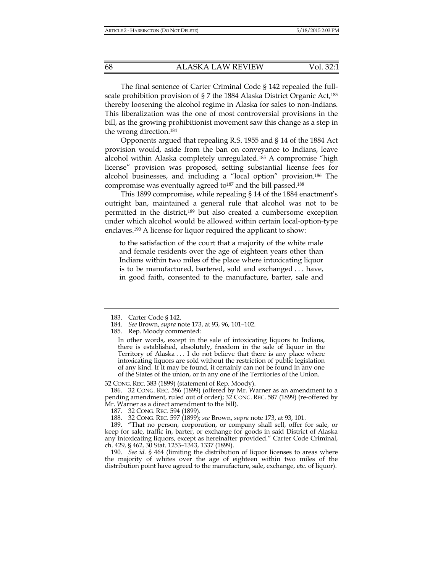The final sentence of Carter Criminal Code § 142 repealed the fullscale prohibition provision of § 7 the 1884 Alaska District Organic Act,183 thereby loosening the alcohol regime in Alaska for sales to non-Indians. This liberalization was the one of most controversial provisions in the bill, as the growing prohibitionist movement saw this change as a step in the wrong direction.184

Opponents argued that repealing R.S. 1955 and § 14 of the 1884 Act provision would, aside from the ban on conveyance to Indians, leave alcohol within Alaska completely unregulated.185 A compromise "high license" provision was proposed, setting substantial license fees for alcohol businesses, and including a "local option" provision.186 The compromise was eventually agreed to<sup>187</sup> and the bill passed.<sup>188</sup>

This 1899 compromise, while repealing § 14 of the 1884 enactment's outright ban, maintained a general rule that alcohol was not to be permitted in the district,189 but also created a cumbersome exception under which alcohol would be allowed within certain local-option-type enclaves.190 A license for liquor required the applicant to show:

to the satisfaction of the court that a majority of the white male and female residents over the age of eighteen years other than Indians within two miles of the place where intoxicating liquor is to be manufactured, bartered, sold and exchanged . . . have, in good faith, consented to the manufacture, barter, sale and

In other words, except in the sale of intoxicating liquors to Indians, there is established, absolutely, freedom in the sale of liquor in the Territory of Alaska . . . I do not believe that there is any place where intoxicating liquors are sold without the restriction of public legislation of any kind. If it may be found, it certainly can not be found in any one of the States of the union, or in any one of the Territories of the Union.

32 CONG. REC. 383 (1899) (statement of Rep. Moody).

 186. 32 CONG. REC. 586 (1899) (offered by Mr. Warner as an amendment to a pending amendment, ruled out of order); 32 CONG. REC. 587 (1899) (re-offered by Mr. Warner as a direct amendment to the bill).

 189. "That no person, corporation, or company shall sell, offer for sale, or keep for sale, traffic in, barter, or exchange for goods in said District of Alaska any intoxicating liquors, except as hereinafter provided." Carter Code Criminal, ch. 429, § 462, 30 Stat. 1253–1343, 1337 (1899).

 190. *See id.* § 464 (limiting the distribution of liquor licenses to areas where the majority of whites over the age of eighteen within two miles of the distribution point have agreed to the manufacture, sale, exchange, etc. of liquor).

 <sup>183.</sup> Carter Code § 142.

 <sup>184.</sup> *See* Brown, *supra* note 173, at 93, 96, 101–102.

 <sup>185.</sup> Rep. Moody commented:

 <sup>187. 32</sup> CONG. REC. 594 (1899).

 <sup>188. 32</sup> CONG. REC. 597 (1899); *see* Brown, *supra* note 173, at 93, 101.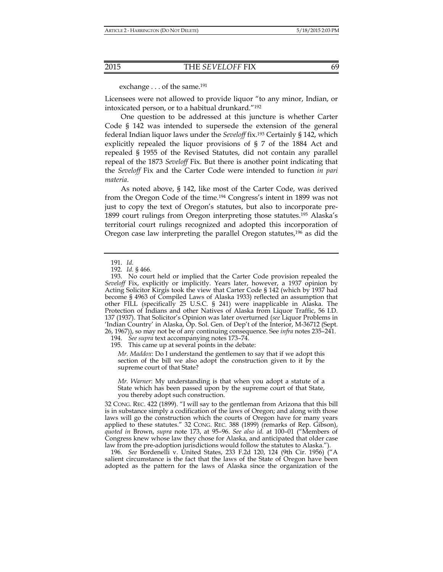exchange . . . of the same.<sup>191</sup>

Licensees were not allowed to provide liquor "to any minor, Indian, or intoxicated person, or to a habitual drunkard."192

One question to be addressed at this juncture is whether Carter Code § 142 was intended to supersede the extension of the general federal Indian liquor laws under the *Seveloff* fix.193 Certainly § 142, which explicitly repealed the liquor provisions of § 7 of the 1884 Act and repealed § 1955 of the Revised Statutes, did not contain any parallel repeal of the 1873 *Seveloff* Fix. But there is another point indicating that the *Seveloff* Fix and the Carter Code were intended to function *in pari materia*.

As noted above, § 142, like most of the Carter Code, was derived from the Oregon Code of the time.194 Congress's intent in 1899 was not just to copy the text of Oregon's statutes, but also to incorporate pre-1899 court rulings from Oregon interpreting those statutes.195 Alaska's territorial court rulings recognized and adopted this incorporation of Oregon case law interpreting the parallel Oregon statutes,<sup>196</sup> as did the

194. *See supra* text accompanying notes 173–74.

195. This came up at several points in the debate:

*Mr. Maddox*: Do I understand the gentlemen to say that if we adopt this section of the bill we also adopt the construction given to it by the supreme court of that State?

*Mr. Warner*: My understanding is that when you adopt a statute of a State which has been passed upon by the supreme court of that State, you thereby adopt such construction.

32 CONG. REC. 422 (1899). "I will say to the gentleman from Arizona that this bill is in substance simply a codification of the laws of Oregon; and along with those laws will go the construction which the courts of Oregon have for many years applied to these statutes." 32 CONG. REC. 388 (1899) (remarks of Rep. Gibson), *quoted in* Brown, *supra* note 173, at 95–96. *See also id.* at 100–01 ("Members of Congress knew whose law they chose for Alaska, and anticipated that older case law from the pre-adoption jurisdictions would follow the statutes to Alaska.").

 196. *See* Bordenelli v. United States, 233 F.2d 120, 124 (9th Cir. 1956) ("A salient circumstance is the fact that the laws of the State of Oregon have been adopted as the pattern for the laws of Alaska since the organization of the

 <sup>191.</sup> *Id.*

 <sup>192.</sup> *Id.* § 466.

 <sup>193.</sup> No court held or implied that the Carter Code provision repealed the *Seveloff* Fix, explicitly or implicitly. Years later, however, a 1937 opinion by Acting Solicitor Kirgis took the view that Carter Code § 142 (which by 1937 had become § 4963 of Compiled Laws of Alaska 1933) reflected an assumption that other FILL (specifically 25 U.S.C. § 241) were inapplicable in Alaska. The Protection of Indians and other Natives of Alaska from Liquor Traffic, 56 I.D. 137 (1937). That Solicitor's Opinion was later overturned (*see* Liquor Problems in 'Indian Country' in Alaska, Op. Sol. Gen. of Dep't of the Interior, M-36712 (Sept. 26, 1967)), so may not be of any continuing consequence. See *infra* notes 235–241.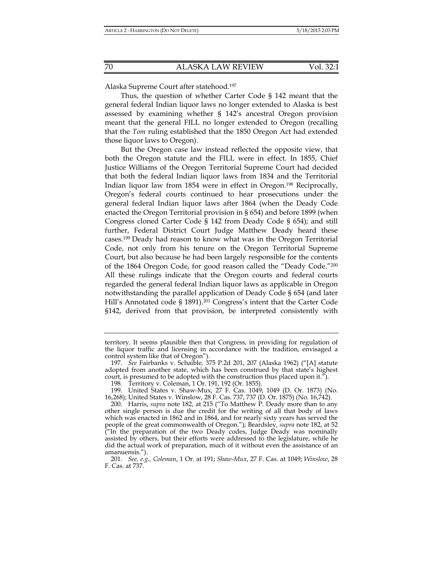Alaska Supreme Court after statehood.197

Thus, the question of whether Carter Code § 142 meant that the general federal Indian liquor laws no longer extended to Alaska is best assessed by examining whether § 142's ancestral Oregon provision meant that the general FILL no longer extended to Oregon (recalling that the *Tom* ruling established that the 1850 Oregon Act had extended those liquor laws to Oregon).

But the Oregon case law instead reflected the opposite view, that both the Oregon statute and the FILL were in effect. In 1855, Chief Justice Williams of the Oregon Territorial Supreme Court had decided that both the federal Indian liquor laws from 1834 and the Territorial Indian liquor law from 1854 were in effect in Oregon.198 Reciprocally, Oregon's federal courts continued to hear prosecutions under the general federal Indian liquor laws after 1864 (when the Deady Code enacted the Oregon Territorial provision in § 654) and before 1899 (when Congress cloned Carter Code § 142 from Deady Code § 654); and still further, Federal District Court Judge Matthew Deady heard these cases.199 Deady had reason to know what was in the Oregon Territorial Code, not only from his tenure on the Oregon Territorial Supreme Court, but also because he had been largely responsible for the contents of the 1864 Oregon Code, for good reason called the "Deady Code."200 All these rulings indicate that the Oregon courts and federal courts regarded the general federal Indian liquor laws as applicable in Oregon notwithstanding the parallel application of Deady Code § 654 (and later Hill's Annotated code § 1891).<sup>201</sup> Congress's intent that the Carter Code §142, derived from that provision, be interpreted consistently with

territory. It seems plausible then that Congress, in providing for regulation of the liquor traffic and licensing in accordance with the tradition, envisaged a control system like that of Oregon").

 <sup>197.</sup> *See* Fairbanks v. Schaible*,* 375 P.2d 201, 207 (Alaska 1962) ("[A] statute adopted from another state, which has been construed by that state's highest court, is presumed to be adopted with the construction thus placed upon it.").

 <sup>198.</sup> Territory v. Coleman, 1 Or. 191, 192 (Or. 1855).

 <sup>199.</sup> United States v. Shaw-Mux, 27 F. Cas. 1049, 1049 (D. Or. 1873) (No. 16,268); United States v. Winslow, 28 F. Cas. 737, 737 (D. Or. 1875) (No. 16,742).

 <sup>200.</sup> Harris, *supra* note 182, at 215 ("To Matthew P. Deady more than to any other single person is due the credit for the writing of all that body of laws which was enacted in 1862 and in 1864, and for nearly sixty years has served the people of the great commonwealth of Oregon."); Beardsley, *supra* note 182, at 52  $\hat{C}$  In the preparation of the two Deady codes, Judge Deady was nominally assisted by others, but their efforts were addressed to the legislature, while he did the actual work of preparation, much of it without even the assistance of an amanuensis.").

 <sup>201.</sup> *See, e.g., Coleman*, 1 Or. at 191; *Shaw-Mux*, 27 F. Cas. at 1049; *Winslow*, 28 F. Cas. at 737.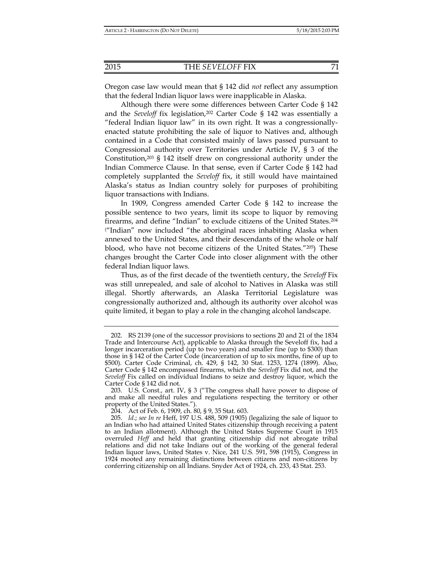Oregon case law would mean that § 142 did *not* reflect any assumption that the federal Indian liquor laws were inapplicable in Alaska.

Although there were some differences between Carter Code § 142 and the *Seveloff* fix legislation,<sup>202</sup> Carter Code § 142 was essentially a "federal Indian liquor law" in its own right. It was a congressionallyenacted statute prohibiting the sale of liquor to Natives and, although contained in a Code that consisted mainly of laws passed pursuant to Congressional authority over Territories under Article IV, § 3 of the Constitution,203 § 142 itself drew on congressional authority under the Indian Commerce Clause. In that sense, even if Carter Code § 142 had completely supplanted the *Seveloff* fix, it still would have maintained Alaska's status as Indian country solely for purposes of prohibiting liquor transactions with Indians.

In 1909, Congress amended Carter Code § 142 to increase the possible sentence to two years, limit its scope to liquor by removing firearms, and define "Indian" to exclude citizens of the United States.204 ( "Indian" now included "the aboriginal races inhabiting Alaska when annexed to the United States, and their descendants of the whole or half blood, who have not become citizens of the United States."205) These changes brought the Carter Code into closer alignment with the other federal Indian liquor laws.

Thus, as of the first decade of the twentieth century, the *Seveloff* Fix was still unrepealed, and sale of alcohol to Natives in Alaska was still illegal. Shortly afterwards, an Alaska Territorial Legislature was congressionally authorized and, although its authority over alcohol was quite limited, it began to play a role in the changing alcohol landscape.

 <sup>202.</sup> RS 2139 (one of the successor provisions to sections 20 and 21 of the 1834 Trade and Intercourse Act), applicable to Alaska through the Seveloff fix, had a longer incarceration period (up to two years) and smaller fine (up to \$300) than those in § 142 of the Carter Code (incarceration of up to six months, fine of up to \$500). Carter Code Criminal, ch. 429, § 142, 30 Stat. 1253, 1274 (1899). Also, Carter Code § 142 encompassed firearms, which the *Seveloff* Fix did not, and the *Seveloff* Fix called on individual Indians to seize and destroy liquor, which the Carter Code § 142 did not.

 <sup>203.</sup> U.S. Const., art. IV, § 3 ("The congress shall have power to dispose of and make all needful rules and regulations respecting the territory or other property of the United States.").

 <sup>204.</sup> Act of Feb. 6, 1909, ch. 80, § 9, 35 Stat. 603.

 <sup>205.</sup> *Id*.; *see In re* Heff, 197 U.S. 488, 509 (1905) (legalizing the sale of liquor to an Indian who had attained United States citizenship through receiving a patent to an Indian allotment). Although the United States Supreme Court in 1915 overruled *Heff* and held that granting citizenship did not abrogate tribal relations and did not take Indians out of the working of the general federal Indian liquor laws, United States v. Nice, 241 U.S. 591, 598 (1915), Congress in 1924 mooted any remaining distinctions between citizens and non-citizens by conferring citizenship on all Indians. Snyder Act of 1924, ch. 233, 43 Stat. 253.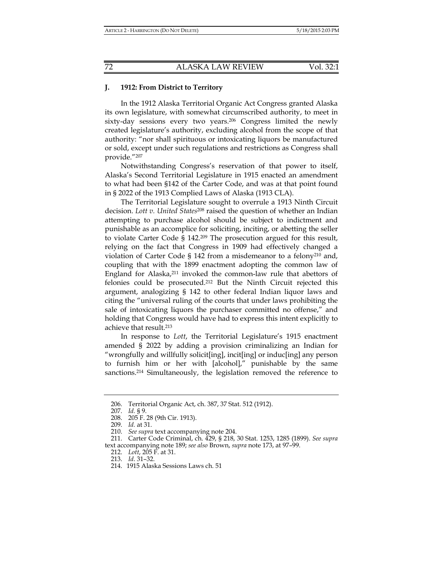## **J. 1912: From District to Territory**

In the 1912 Alaska Territorial Organic Act Congress granted Alaska its own legislature, with somewhat circumscribed authority, to meet in sixty-day sessions every two years.206 Congress limited the newly created legislature's authority, excluding alcohol from the scope of that authority: "nor shall spirituous or intoxicating liquors be manufactured or sold, except under such regulations and restrictions as Congress shall provide."207

Notwithstanding Congress's reservation of that power to itself, Alaska's Second Territorial Legislature in 1915 enacted an amendment to what had been §142 of the Carter Code, and was at that point found in § 2022 of the 1913 Complied Laws of Alaska (1913 CLA).

The Territorial Legislature sought to overrule a 1913 Ninth Circuit decision. *Lott v. United States*208 raised the question of whether an Indian attempting to purchase alcohol should be subject to indictment and punishable as an accomplice for soliciting, inciting, or abetting the seller to violate Carter Code § 142.209 The prosecution argued for this result, relying on the fact that Congress in 1909 had effectively changed a violation of Carter Code § 142 from a misdemeanor to a felony<sup>210</sup> and, coupling that with the 1899 enactment adopting the common law of England for Alaska,<sup>211</sup> invoked the common-law rule that abettors of felonies could be prosecuted.212 But the Ninth Circuit rejected this argument, analogizing § 142 to other federal Indian liquor laws and citing the "universal ruling of the courts that under laws prohibiting the sale of intoxicating liquors the purchaser committed no offense," and holding that Congress would have had to express this intent explicitly to achieve that result.213

In response to *Lott*, the Territorial Legislature's 1915 enactment amended § 2022 by adding a provision criminalizing an Indian for "wrongfully and willfully solicit[ing], incit[ing] or induc[ing] any person to furnish him or her with [alcohol]," punishable by the same sanctions.<sup>214</sup> Simultaneously, the legislation removed the reference to

 <sup>206.</sup> Territorial Organic Act, ch. 387, 37 Stat. 512 (1912).

 <sup>207.</sup> *Id.* § 9.

 <sup>208. 205</sup> F. 28 (9th Cir. 1913).

 <sup>209.</sup> *Id.* at 31.

 <sup>210.</sup> *See supra* text accompanying note 204.

 <sup>211.</sup> Carter Code Criminal, ch. 429, § 218, 30 Stat. 1253, 1285 (1899). *See supra* text accompanying note 189; *see also* Brown, *supra* note 173, at 97–99.

 <sup>212.</sup> *Lott*, 205 F. at 31.

 <sup>213.</sup> *Id*. 31–32.

 <sup>214. 1915</sup> Alaska Sessions Laws ch. 51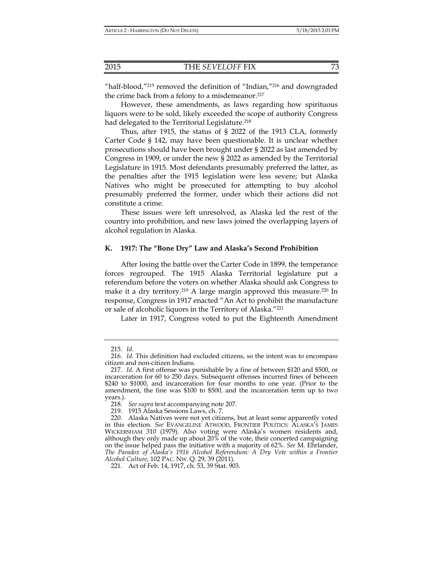"half-blood,"215 removed the definition of "Indian,"216 and downgraded the crime back from a felony to a misdemeanor.<sup>217</sup>

However, these amendments, as laws regarding how spirituous liquors were to be sold, likely exceeded the scope of authority Congress had delegated to the Territorial Legislature.<sup>218</sup>

Thus, after 1915, the status of § 2022 of the 1913 CLA, formerly Carter Code § 142, may have been questionable. It is unclear whether prosecutions should have been brought under § 2022 as last amended by Congress in 1909, or under the new § 2022 as amended by the Territorial Legislature in 1915. Most defendants presumably preferred the latter, as the penalties after the 1915 legislation were less severe; but Alaska Natives who might be prosecuted for attempting to buy alcohol presumably preferred the former, under which their actions did not constitute a crime.

These issues were left unresolved, as Alaska led the rest of the country into prohibition, and new laws joined the overlapping layers of alcohol regulation in Alaska.

#### **K. 1917: The "Bone Dry" Law and Alaska's Second Prohibition**

After losing the battle over the Carter Code in 1899, the temperance forces regrouped. The 1915 Alaska Territorial legislature put a referendum before the voters on whether Alaska should ask Congress to make it a dry territory.<sup>219</sup> A large margin approved this measure.<sup>220</sup> In response, Congress in 1917 enacted "An Act to prohibit the manufacture or sale of alcoholic liquors in the Territory of Alaska."221

Later in 1917, Congress voted to put the Eighteenth Amendment

 <sup>215.</sup> *Id*.

 <sup>216.</sup> *Id.* This definition had excluded citizens, so the intent was to encompass citizen and non-citizen Indians.

 <sup>217.</sup> *Id.* A first offense was punishable by a fine of between \$120 and \$500, or incarceration for 60 to 250 days. Subsequent offenses incurred fines of between \$240 to \$1000, and incarceration for four months to one year. (Prior to the amendment, the fine was \$100 to \$500, and the incarceration term up to two years.).

 <sup>218.</sup> *See supra* text accompanying note 207.

 <sup>219. 1915</sup> Alaska Sessions Laws, ch. 7.

 <sup>220.</sup> Alaska Natives were not yet citizens, but at least some apparently voted in this election. *See* EVANGELINE ATWOOD, FRONTIER POLITICS: ALASKA'S JAMES WICKERSHAM 310 (1979). Also voting were Alaska's women residents and, although they only made up about 20% of the vote, their concerted campaigning on the issue helped pass the initiative with a majority of 62%. *See* M. Ehrlander, *The Paradox of Alaska's 1916 Alcohol Referendum: A Dry Vote within a Frontier Alcohol Culture*, 102 PAC. NW. Q. 29, 39 (2011).

 <sup>221.</sup> Act of Feb. 14, 1917, ch. 53, 39 Stat. 903.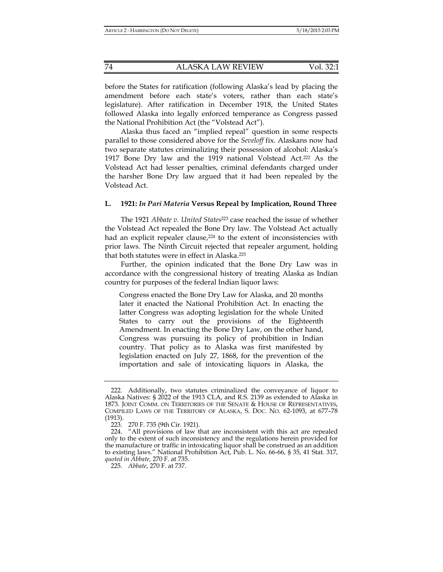before the States for ratification (following Alaska's lead by placing the amendment before each state's voters, rather than each state's legislature). After ratification in December 1918, the United States followed Alaska into legally enforced temperance as Congress passed the National Prohibition Act (the "Volstead Act").

Alaska thus faced an "implied repeal" question in some respects parallel to those considered above for the *Seveloff* fix. Alaskans now had two separate statutes criminalizing their possession of alcohol: Alaska's 1917 Bone Dry law and the 1919 national Volstead Act.<sup>222</sup> As the Volstead Act had lesser penalties, criminal defendants charged under the harsher Bone Dry law argued that it had been repealed by the Volstead Act.

#### **L. 1921:** *In Pari Materia* **Versus Repeal by Implication, Round Three**

The 1921 *Abbate v. United States*<sup>223</sup> case reached the issue of whether the Volstead Act repealed the Bone Dry law. The Volstead Act actually had an explicit repealer clause,<sup>224</sup> to the extent of inconsistencies with prior laws. The Ninth Circuit rejected that repealer argument, holding that both statutes were in effect in Alaska.225

Further, the opinion indicated that the Bone Dry Law was in accordance with the congressional history of treating Alaska as Indian country for purposes of the federal Indian liquor laws:

Congress enacted the Bone Dry Law for Alaska, and 20 months later it enacted the National Prohibition Act. In enacting the latter Congress was adopting legislation for the whole United States to carry out the provisions of the Eighteenth Amendment. In enacting the Bone Dry Law, on the other hand, Congress was pursuing its policy of prohibition in Indian country. That policy as to Alaska was first manifested by legislation enacted on July 27, 1868, for the prevention of the importation and sale of intoxicating liquors in Alaska, the

 <sup>222.</sup> Additionally, two statutes criminalized the conveyance of liquor to Alaska Natives: § 2022 of the 1913 CLA, and R.S. 2139 as extended to Alaska in 1873. JOINT COMM. ON TERRITORIES OF THE SENATE & HOUSE OF REPRESENTATIVES, COMPILED LAWS OF THE TERRITORY OF ALASKA, S. DOC. NO. 62-1093, at 677–78 (1913).

 <sup>223. 270</sup> F. 735 (9th Cir. 1921).

 <sup>224. &</sup>quot;All provisions of law that are inconsistent with this act are repealed only to the extent of such inconsistency and the regulations herein provided for the manufacture or traffic in intoxicating liquor shall be construed as an addition to existing laws." National Prohibition Act, Pub. L. No. 66-66, § 35, 41 Stat. 317, *quoted in Abbate,* 270 F. at 735.

 <sup>225.</sup> *Abbate*, 270 F. at 737.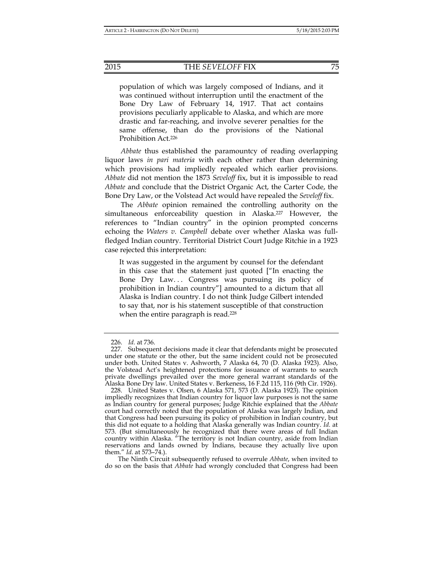#### 2015 THE *SEVELOFF* FIX 75

population of which was largely composed of Indians, and it was continued without interruption until the enactment of the Bone Dry Law of February 14, 1917. That act contains provisions peculiarly applicable to Alaska, and which are more drastic and far-reaching, and involve severer penalties for the same offense, than do the provisions of the National Prohibition Act.226

*Abbate* thus established the paramountcy of reading overlapping liquor laws *in pari materia* with each other rather than determining which provisions had impliedly repealed which earlier provisions. *Abbate* did not mention the 1873 *Seveloff* fix, but it is impossible to read *Abbate* and conclude that the District Organic Act, the Carter Code, the Bone Dry Law, or the Volstead Act would have repealed the *Seveloff* fix.

The *Abbate* opinion remained the controlling authority on the simultaneous enforceability question in Alaska.<sup>227</sup> However, the references to "Indian country" in the opinion prompted concerns echoing the *Waters v. Campbell* debate over whether Alaska was fullfledged Indian country. Territorial District Court Judge Ritchie in a 1923 case rejected this interpretation:

It was suggested in the argument by counsel for the defendant in this case that the statement just quoted ["In enacting the Bone Dry Law... Congress was pursuing its policy of prohibition in Indian country"] amounted to a dictum that all Alaska is Indian country. I do not think Judge Gilbert intended to say that, nor is his statement susceptible of that construction when the entire paragraph is read.<sup>228</sup>

The Ninth Circuit subsequently refused to overrule *Abbate*, when invited to do so on the basis that *Abbate* had wrongly concluded that Congress had been

 <sup>226.</sup> *Id.* at 736.

 <sup>227.</sup> Subsequent decisions made it clear that defendants might be prosecuted under one statute or the other, but the same incident could not be prosecuted under both. United States v. Ashworth, 7 Alaska 64, 70 (D. Alaska 1923). Also, the Volstead Act's heightened protections for issuance of warrants to search private dwellings prevailed over the more general warrant standards of the Alaska Bone Dry law. United States v. Berkeness, 16 F.2d 115, 116 (9th Cir. 1926).

 <sup>228.</sup> United States v. Olsen, 6 Alaska 571, 573 (D. Alaska 1923). The opinion impliedly recognizes that Indian country for liquor law purposes is not the same as Indian country for general purposes; Judge Ritchie explained that the *Abbate* court had correctly noted that the population of Alaska was largely Indian, and that Congress had been pursuing its policy of prohibition in Indian country, but this did not equate to a holding that Alaska generally was Indian country. *Id.* at 573. (But simultaneously he recognized that there were areas of full Indian country within Alaska. "The territory is not Indian country, aside from Indian reservations and lands owned by Indians, because they actually live upon them." *Id*. at 573–74.).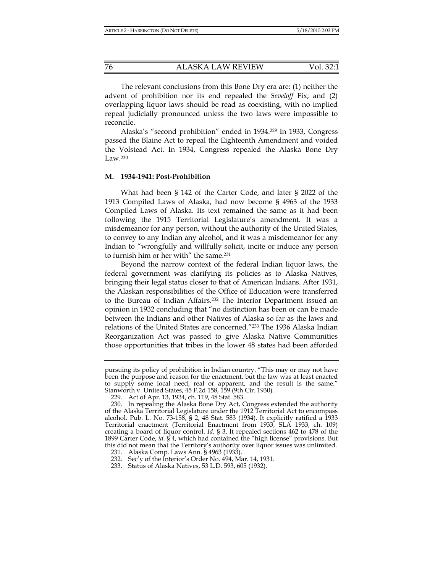The relevant conclusions from this Bone Dry era are: (1) neither the advent of prohibition nor its end repealed the *Seveloff* Fix; and (2) overlapping liquor laws should be read as coexisting, with no implied repeal judicially pronounced unless the two laws were impossible to reconcile.

Alaska's "second prohibition" ended in 1934.229 In 1933, Congress passed the Blaine Act to repeal the Eighteenth Amendment and voided the Volstead Act. In 1934, Congress repealed the Alaska Bone Dry Law.230

#### **M. 1934-1941: Post-Prohibition**

What had been § 142 of the Carter Code, and later § 2022 of the 1913 Compiled Laws of Alaska, had now become § 4963 of the 1933 Compiled Laws of Alaska. Its text remained the same as it had been following the 1915 Territorial Legislature's amendment. It was a misdemeanor for any person, without the authority of the United States, to convey to any Indian any alcohol, and it was a misdemeanor for any Indian to "wrongfully and willfully solicit, incite or induce any person to furnish him or her with" the same.231

Beyond the narrow context of the federal Indian liquor laws, the federal government was clarifying its policies as to Alaska Natives, bringing their legal status closer to that of American Indians. After 1931, the Alaskan responsibilities of the Office of Education were transferred to the Bureau of Indian Affairs.232 The Interior Department issued an opinion in 1932 concluding that "no distinction has been or can be made between the Indians and other Natives of Alaska so far as the laws and relations of the United States are concerned."233 The 1936 Alaska Indian Reorganization Act was passed to give Alaska Native Communities those opportunities that tribes in the lower 48 states had been afforded

pursuing its policy of prohibition in Indian country. "This may or may not have been the purpose and reason for the enactment, but the law was at least enacted to supply some local need, real or apparent, and the result is the same." Stanworth v. United States, 45 F.2d 158, 159 (9th Cir. 1930).

 <sup>229.</sup> Act of Apr. 13, 1934, ch. 119, 48 Stat. 583.

 <sup>230.</sup> In repealing the Alaska Bone Dry Act, Congress extended the authority of the Alaska Territorial Legislature under the 1912 Territorial Act to encompass alcohol. Pub. L. No. 73-158, § 2, 48 Stat. 583 (1934). It explicitly ratified a 1933 Territorial enactment (Territorial Enactment from 1933, SLA 1933, ch. 109) creating a board of liquor control. *Id*. § 3. It repealed sections 462 to 478 of the 1899 Carter Code, *id*. § 4, which had contained the "high license" provisions. But this did not mean that the Territory's authority over liquor issues was unlimited.

 <sup>231.</sup> Alaska Comp. Laws Ann. § 4963 (1933).

 <sup>232.</sup> Sec'y of the Interior's Order No. 494, Mar. 14, 1931.

 <sup>233.</sup> Status of Alaska Natives, 53 L.D. 593, 605 (1932).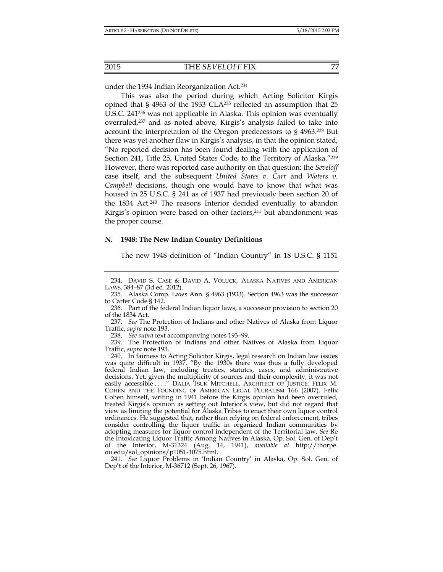under the 1934 Indian Reorganization Act.234

This was also the period during which Acting Solicitor Kirgis opined that § 4963 of the 1933 CLA235 reflected an assumption that 25 U.S.C. 241236 was not applicable in Alaska. This opinion was eventually overruled,237 and as noted above, Kirgis's analysis failed to take into account the interpretation of the Oregon predecessors to § 4963.238 But there was yet another flaw in Kirgis's analysis, in that the opinion stated, "No reported decision has been found dealing with the application of Section 241, Title 25, United States Code, to the Territory of Alaska."<sup>239</sup> However, there was reported case authority on that question: the *Seveloff* case itself, and the subsequent *United States v. Carr* and *Waters v. Campbell* decisions, though one would have to know that what was housed in 25 U.S.C. § 241 as of 1937 had previously been section 20 of the 1834 Act.<sup>240</sup> The reasons Interior decided eventually to abandon Kirgis's opinion were based on other factors,<sup>241</sup> but abandonment was the proper course.

#### **N. 1948: The New Indian Country Definitions**

The new 1948 definition of "Indian Country" in 18 U.S.C. § 1151

238. *See supra* text accompanying notes 193–99.

 239. The Protection of Indians and other Natives of Alaska from Liquor Traffic, *supra* note 193.

 241. *See* Liquor Problems in 'Indian Country' in Alaska, Op. Sol. Gen. of Dep't of the Interior, M-36712 (Sept. 26, 1967).

 <sup>234.</sup> DAVID S. CASE & DAVID A. VOLUCK, ALASKA NATIVES AND AMERICAN LAWS, 384–87 (3d ed. 2012).

 <sup>235.</sup> Alaska Comp. Laws Ann. § 4963 (1933). Section 4963 was the successor to Carter Code § 142.

 <sup>236.</sup> Part of the federal Indian liquor laws, a successor provision to section 20 of the 1834 Act.

 <sup>237.</sup> *See* The Protection of Indians and other Natives of Alaska from Liquor Traffic, *supra* note 193.

 <sup>240.</sup> In fairness to Acting Solicitor Kirgis, legal research on Indian law issues was quite difficult in 1937. "By the 1930s there was thus a fully developed federal Indian law, including treaties, statutes, cases, and administrative decisions. Yet, given the multiplicity of sources and their complexity, it was not easily accessible ...." DALIA TSUK MITCHELL, ARCHITECT OF JUSTICE: FELIX M. COHEN AND THE FOUNDING OF AMERICAN LEGAL PLURALISM 166 (2007). Felix Cohen himself, writing in 1941 before the Kirgis opinion had been overruled, treated Kirgis's opinion as setting out Interior's view, but did not regard that view as limiting the potential for Alaska Tribes to enact their own liquor control ordinances. He suggested that, rather than relying on federal enforcement, tribes consider controlling the liquor traffic in organized Indian communities by adopting measures for liquor control independent of the Territorial law. *See* Re the Intoxicating Liquor Traffic Among Natives in Alaska, Op. Sol. Gen. of Dep't of the Interior, M-31324 (Aug. 14, 1941), *available at* http://thorpe. ou.edu/sol\_opinions/p1051-1075.html.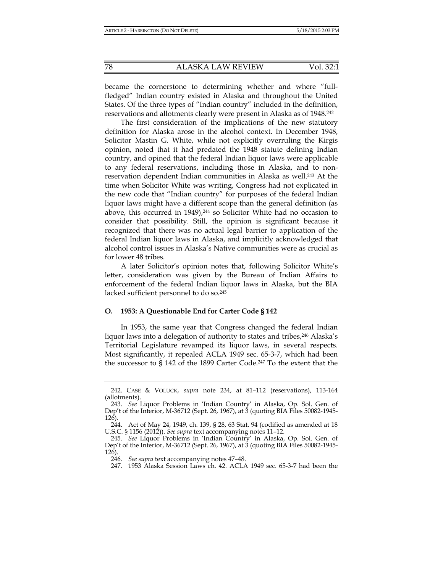became the cornerstone to determining whether and where "fullfledged" Indian country existed in Alaska and throughout the United States. Of the three types of "Indian country" included in the definition, reservations and allotments clearly were present in Alaska as of 1948.242

The first consideration of the implications of the new statutory definition for Alaska arose in the alcohol context. In December 1948, Solicitor Mastin G. White, while not explicitly overruling the Kirgis opinion, noted that it had predated the 1948 statute defining Indian country, and opined that the federal Indian liquor laws were applicable to any federal reservations, including those in Alaska, and to nonreservation dependent Indian communities in Alaska as well.243 At the time when Solicitor White was writing, Congress had not explicated in the new code that "Indian country" for purposes of the federal Indian liquor laws might have a different scope than the general definition (as above, this occurred in 1949),<sup>244</sup> so Solicitor White had no occasion to consider that possibility. Still, the opinion is significant because it recognized that there was no actual legal barrier to application of the federal Indian liquor laws in Alaska, and implicitly acknowledged that alcohol control issues in Alaska's Native communities were as crucial as for lower 48 tribes.

A later Solicitor's opinion notes that, following Solicitor White's letter, consideration was given by the Bureau of Indian Affairs to enforcement of the federal Indian liquor laws in Alaska, but the BIA lacked sufficient personnel to do so.245

#### **O. 1953: A Questionable End for Carter Code § 142**

In 1953, the same year that Congress changed the federal Indian liquor laws into a delegation of authority to states and tribes, <sup>246</sup> Alaska's Territorial Legislature revamped its liquor laws, in several respects. Most significantly, it repealed ACLA 1949 sec. 65-3-7, which had been the successor to § 142 of the 1899 Carter Code.247 To the extent that the

 <sup>242.</sup> CASE & VOLUCK, *supra* note 234, at 81–112 (reservations), 113-164 (allotments).

 <sup>243.</sup> *See* Liquor Problems in 'Indian Country' in Alaska, Op. Sol. Gen. of Dep't of the Interior, M-36712 (Sept. 26, 1967), at 3 (quoting BIA Files 50082-1945- 126).

 <sup>244.</sup> Act of May 24, 1949, ch. 139, § 28, 63 Stat. 94 (codified as amended at 18 U.S.C. § 1156 (2012)). *See supra* text accompanying notes 11–12.

 <sup>245.</sup> *See* Liquor Problems in 'Indian Country' in Alaska, Op. Sol. Gen. of Dep't of the Interior, M-36712 (Sept. 26, 1967), at 3 (quoting BIA Files 50082-1945- 126).

 <sup>246.</sup> *See supra* text accompanying notes 47–48.

 <sup>247. 1953</sup> Alaska Session Laws ch. 42. ACLA 1949 sec. 65-3-7 had been the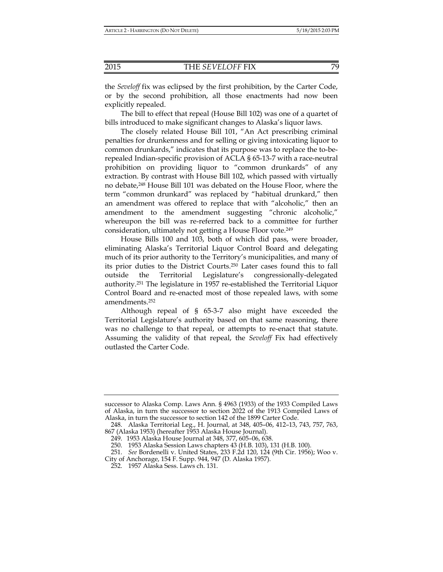the *Seveloff* fix was eclipsed by the first prohibition, by the Carter Code, or by the second prohibition, all those enactments had now been explicitly repealed.

The bill to effect that repeal (House Bill 102) was one of a quartet of bills introduced to make significant changes to Alaska's liquor laws.

The closely related House Bill 101, "An Act prescribing criminal penalties for drunkenness and for selling or giving intoxicating liquor to common drunkards," indicates that its purpose was to replace the to-berepealed Indian-specific provision of ACLA § 65-13-7 with a race-neutral prohibition on providing liquor to "common drunkards" of any extraction. By contrast with House Bill 102, which passed with virtually no debate,248 House Bill 101 was debated on the House Floor, where the term "common drunkard" was replaced by "habitual drunkard," then an amendment was offered to replace that with "alcoholic," then an amendment to the amendment suggesting "chronic alcoholic," whereupon the bill was re-referred back to a committee for further consideration, ultimately not getting a House Floor vote.249

House Bills 100 and 103, both of which did pass, were broader, eliminating Alaska's Territorial Liquor Control Board and delegating much of its prior authority to the Territory's municipalities, and many of its prior duties to the District Courts.250 Later cases found this to fall outside the Territorial Legislature's congressionally-delegated authority.251 The legislature in 1957 re-established the Territorial Liquor Control Board and re-enacted most of those repealed laws, with some amendments.252

Although repeal of § 65-3-7 also might have exceeded the Territorial Legislature's authority based on that same reasoning, there was no challenge to that repeal, or attempts to re-enact that statute. Assuming the validity of that repeal, the *Seveloff* Fix had effectively outlasted the Carter Code.

successor to Alaska Comp. Laws Ann. § 4963 (1933) of the 1933 Compiled Laws of Alaska, in turn the successor to section 2022 of the 1913 Compiled Laws of Alaska, in turn the successor to section 142 of the 1899 Carter Code.

 <sup>248.</sup> Alaska Territorial Leg., H. Journal, at 348, 405–06, 412–13, 743, 757, 763, 867 (Alaska 1953) (hereafter 1953 Alaska House Journal).

 <sup>249. 1953</sup> Alaska House Journal at 348, 377, 605–06, 638.

 <sup>250. 1953</sup> Alaska Session Laws chapters 43 (H.B. 103), 131 (H.B. 100).

 <sup>251.</sup> *See* Bordenelli v. United States, 233 F.2d 120, 124 (9th Cir. 1956); Woo v.

City of Anchorage, 154 F. Supp. 944, 947 (D. Alaska 1957).

 <sup>252. 1957</sup> Alaska Sess. Laws ch. 131.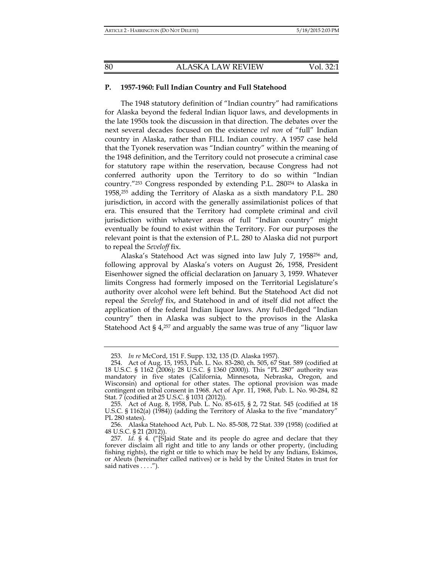#### **P. 1957-1960: Full Indian Country and Full Statehood**

The 1948 statutory definition of "Indian country" had ramifications for Alaska beyond the federal Indian liquor laws, and developments in the late 1950s took the discussion in that direction. The debates over the next several decades focused on the existence *vel non* of "full" Indian country in Alaska, rather than FILL Indian country. A 1957 case held that the Tyonek reservation was "Indian country" within the meaning of the 1948 definition, and the Territory could not prosecute a criminal case for statutory rape within the reservation, because Congress had not conferred authority upon the Territory to do so within "Indian country."253 Congress responded by extending P.L. 280254 to Alaska in 1958,255 adding the Territory of Alaska as a sixth mandatory P.L. 280 jurisdiction, in accord with the generally assimilationist polices of that era. This ensured that the Territory had complete criminal and civil jurisdiction within whatever areas of full "Indian country" might eventually be found to exist within the Territory. For our purposes the relevant point is that the extension of P.L. 280 to Alaska did not purport to repeal the *Seveloff* fix.

Alaska's Statehood Act was signed into law July 7, 1958256 and, following approval by Alaska's voters on August 26, 1958, President Eisenhower signed the official declaration on January 3, 1959. Whatever limits Congress had formerly imposed on the Territorial Legislature's authority over alcohol were left behind. But the Statehood Act did not repeal the *Seveloff* fix, and Statehood in and of itself did not affect the application of the federal Indian liquor laws. Any full-fledged "Indian country" then in Alaska was subject to the provisos in the Alaska Statehood Act § 4,257 and arguably the same was true of any "liquor law

 <sup>253.</sup> *In re* McCord, 151 F. Supp. 132, 135 (D. Alaska 1957).

 <sup>254.</sup> Act of Aug. 15, 1953, Pub. L. No. 83-280, ch. 505, 67 Stat. 589 (codified at 18 U.S.C. § 1162 (2006); 28 U.S.C. § 1360 (2000)). This "PL 280" authority was mandatory in five states (California, Minnesota, Nebraska, Oregon, and Wisconsin) and optional for other states. The optional provision was made contingent on tribal consent in 1968. Act of Apr. 11, 1968, Pub. L. No. 90-284, 82 Stat. 7 (codified at 25 U.S.C. § 1031 (2012)).

 <sup>255.</sup> Act of Aug. 8, 1958, Pub. L. No. 85-615, § 2, 72 Stat. 545 (codified at 18 U.S.C. § 1162(a) (1984)) (adding the Territory of Alaska to the five "mandatory" PL 280 states).

 <sup>256.</sup> Alaska Statehood Act, Pub. L. No. 85-508, 72 Stat. 339 (1958) (codified at 48 U.S.C. § 21 (2012)).

 <sup>257.</sup> *Id.* § 4. ("[S]aid State and its people do agree and declare that they forever disclaim all right and title to any lands or other property, (including fishing rights), the right or title to which may be held by any Indians, Eskimos, or Aleuts (hereinafter called natives) or is held by the United States in trust for said natives . . . .").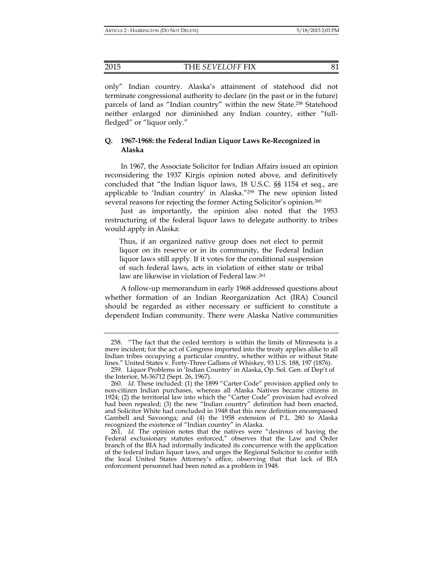only" Indian country. Alaska's attainment of statehood did not terminate congressional authority to declare (in the past or in the future) parcels of land as "Indian country" within the new State.258 Statehood neither enlarged nor diminished any Indian country, either "fullfledged" or "liquor only."

## **Q. 1967-1968: the Federal Indian Liquor Laws Re-Recognized in Alaska**

In 1967, the Associate Solicitor for Indian Affairs issued an opinion reconsidering the 1937 Kirgis opinion noted above, and definitively concluded that "the Indian liquor laws, 18 U.S.C. §§ 1154 et seq., are applicable to 'Indian country' in Alaska."259 The new opinion listed several reasons for rejecting the former Acting Solicitor's opinion.<sup>260</sup>

Just as importantly, the opinion also noted that the 1953 restructuring of the federal liquor laws to delegate authority to tribes would apply in Alaska:

Thus, if an organized native group does not elect to permit liquor on its reserve or in its community, the Federal Indian liquor laws still apply. If it votes for the conditional suspension of such federal laws, acts in violation of either state or tribal law are likewise in violation of Federal law.261

A follow-up memorandum in early 1968 addressed questions about whether formation of an Indian Reorganization Act (IRA) Council should be regarded as either necessary or sufficient to constitute a dependent Indian community. There were Alaska Native communities

 <sup>258. &</sup>quot;The fact that the ceded territory is within the limits of Minnesota is a mere incident; for the act of Congress imported into the treaty applies alike to all Indian tribes occupying a particular country, whether within or without State lines." United States v. Forty-Three Gallons of Whiskey, 93 U.S. 188, 197 (1876).

 <sup>259.</sup> Liquor Problems in 'Indian Country' in Alaska, Op. Sol. Gen. of Dep't of the Interior, M-36712 (Sept. 26, 1967).

 <sup>260.</sup> *Id*. These included: (1) the 1899 "Carter Code" provision applied only to non-citizen Indian purchases, whereas all Alaska Natives became citizens in 1924; (2) the territorial law into which the "Carter Code" provision had evolved had been repealed; (3) the new "Indian country" definition had been enacted, and Solicitor White had concluded in 1948 that this new definition encompassed Gambell and Savoonga; and (4) the 1958 extension of P.L. 280 to Alaska recognized the existence of "Indian country" in Alaska.

 <sup>261.</sup> *Id*. The opinion notes that the natives were "desirous of having the Federal exclusionary statutes enforced," observes that the Law and Order branch of the BIA had informally indicated its concurrence with the application of the federal Indian liquor laws, and urges the Regional Solicitor to confer with the local United States Attorney's office, observing that that lack of BIA enforcement personnel had been noted as a problem in 1948.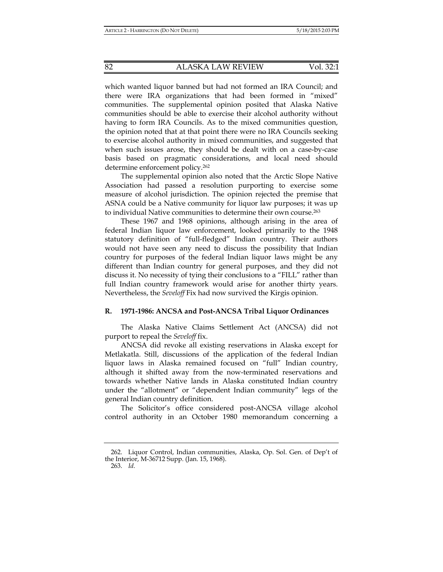which wanted liquor banned but had not formed an IRA Council; and there were IRA organizations that had been formed in "mixed" communities. The supplemental opinion posited that Alaska Native communities should be able to exercise their alcohol authority without having to form IRA Councils. As to the mixed communities question, the opinion noted that at that point there were no IRA Councils seeking to exercise alcohol authority in mixed communities, and suggested that when such issues arose, they should be dealt with on a case-by-case basis based on pragmatic considerations, and local need should determine enforcement policy.262

The supplemental opinion also noted that the Arctic Slope Native Association had passed a resolution purporting to exercise some measure of alcohol jurisdiction. The opinion rejected the premise that ASNA could be a Native community for liquor law purposes; it was up to individual Native communities to determine their own course.263

These 1967 and 1968 opinions, although arising in the area of federal Indian liquor law enforcement, looked primarily to the 1948 statutory definition of "full-fledged" Indian country. Their authors would not have seen any need to discuss the possibility that Indian country for purposes of the federal Indian liquor laws might be any different than Indian country for general purposes, and they did not discuss it. No necessity of tying their conclusions to a "FILL" rather than full Indian country framework would arise for another thirty years. Nevertheless, the *Seveloff* Fix had now survived the Kirgis opinion.

#### **R. 1971-1986: ANCSA and Post-ANCSA Tribal Liquor Ordinances**

The Alaska Native Claims Settlement Act (ANCSA) did not purport to repeal the *Seveloff* fix.

ANCSA did revoke all existing reservations in Alaska except for Metlakatla. Still, discussions of the application of the federal Indian liquor laws in Alaska remained focused on "full" Indian country, although it shifted away from the now-terminated reservations and towards whether Native lands in Alaska constituted Indian country under the "allotment" or "dependent Indian community" legs of the general Indian country definition.

The Solicitor's office considered post-ANCSA village alcohol control authority in an October 1980 memorandum concerning a

263. *Id.*

 <sup>262.</sup> Liquor Control, Indian communities, Alaska, Op. Sol. Gen. of Dep't of the Interior, M-36712 Supp. (Jan. 15, 1968).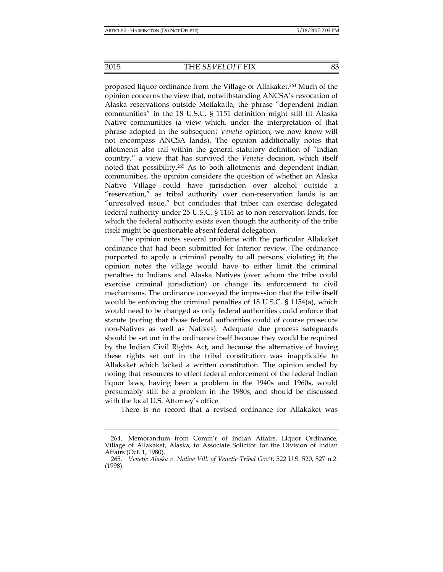proposed liquor ordinance from the Village of Allakaket.264 Much of the opinion concerns the view that, notwithstanding ANCSA's revocation of Alaska reservations outside Metlakatla, the phrase "dependent Indian communities" in the 18 U.S.C. § 1151 definition might still fit Alaska Native communities (a view which, under the interpretation of that phrase adopted in the subsequent *Venetie* opinion, we now know will not encompass ANCSA lands). The opinion additionally notes that allotments also fall within the general statutory definition of "Indian country," a view that has survived the *Venetie* decision, which itself noted that possibility.265 As to both allotments and dependent Indian communities, the opinion considers the question of whether an Alaska Native Village could have jurisdiction over alcohol outside a "reservation," as tribal authority over non-reservation lands is an "unresolved issue," but concludes that tribes can exercise delegated federal authority under 25 U.S.C. § 1161 as to non-reservation lands, for which the federal authority exists even though the authority of the tribe itself might be questionable absent federal delegation.

The opinion notes several problems with the particular Allakaket ordinance that had been submitted for Interior review. The ordinance purported to apply a criminal penalty to all persons violating it; the opinion notes the village would have to either limit the criminal penalties to Indians and Alaska Natives (over whom the tribe could exercise criminal jurisdiction) or change its enforcement to civil mechanisms. The ordinance conveyed the impression that the tribe itself would be enforcing the criminal penalties of 18 U.S.C. § 1154(a), which would need to be changed as only federal authorities could enforce that statute (noting that those federal authorities could of course prosecute non-Natives as well as Natives). Adequate due process safeguards should be set out in the ordinance itself because they would be required by the Indian Civil Rights Act, and because the alternative of having these rights set out in the tribal constitution was inapplicable to Allakaket which lacked a written constitution. The opinion ended by noting that resources to effect federal enforcement of the federal Indian liquor laws, having been a problem in the 1940s and 1960s, would presumably still be a problem in the 1980s, and should be discussed with the local U.S. Attorney's office.

There is no record that a revised ordinance for Allakaket was

 <sup>264.</sup> Memorandum from Comm'r of Indian Affairs, Liquor Ordinance, Village of Allakaket, Alaska, to Associate Solicitor for the Division of Indian Affairs (Oct. 1, 1980).

 <sup>265.</sup> *Venetie Alaska v. Native Vill. of Venetie Tribal Gov't*, 522 U.S. 520, 527 n.2. (1998).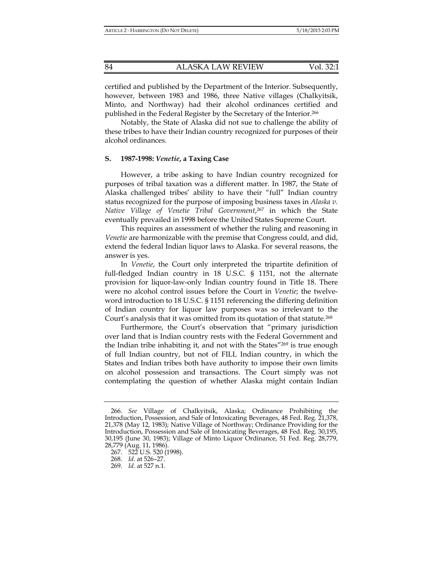certified and published by the Department of the Interior. Subsequently, however, between 1983 and 1986, three Native villages (Chalkyitsik, Minto, and Northway) had their alcohol ordinances certified and published in the Federal Register by the Secretary of the Interior.266

Notably, the State of Alaska did not sue to challenge the ability of these tribes to have their Indian country recognized for purposes of their alcohol ordinances.

## **S. 1987-1998:** *Venetie***, a Taxing Case**

However, a tribe asking to have Indian country recognized for purposes of tribal taxation was a different matter. In 1987, the State of Alaska challenged tribes' ability to have their "full" Indian country status recognized for the purpose of imposing business taxes in *Alaska v. Native Village of Venetie Tribal Government*, 267 in which the State eventually prevailed in 1998 before the United States Supreme Court.

This requires an assessment of whether the ruling and reasoning in *Venetie* are harmonizable with the premise that Congress could, and did, extend the federal Indian liquor laws to Alaska. For several reasons, the answer is yes.

In *Venetie*, the Court only interpreted the tripartite definition of full-fledged Indian country in 18 U.S.C. § 1151, not the alternate provision for liquor-law-only Indian country found in Title 18. There were no alcohol control issues before the Court in *Venetie*; the twelveword introduction to 18 U.S.C. § 1151 referencing the differing definition of Indian country for liquor law purposes was so irrelevant to the Court's analysis that it was omitted from its quotation of that statute.268

Furthermore, the Court's observation that "primary jurisdiction over land that is Indian country rests with the Federal Government and the Indian tribe inhabiting it, and not with the States"269 is true enough of full Indian country, but not of FILL Indian country, in which the States and Indian tribes both have authority to impose their own limits on alcohol possession and transactions. The Court simply was not contemplating the question of whether Alaska might contain Indian

 <sup>266.</sup> *See* Village of Chalkyitsik, Alaska; Ordinance Prohibiting the Introduction, Possession, and Sale of Intoxicating Beverages, 48 Fed. Reg. 21,378, 21,378 (May 12, 1983); Native Village of Northway; Ordinance Providing for the Introduction, Possession and Sale of Intoxicating Beverages, 48 Fed. Reg. 30,195, 30,195 (June 30, 1983); Village of Minto Liquor Ordinance, 51 Fed. Reg. 28,779, 28,779 (Aug. 11, 1986).

 <sup>267. 522</sup> U.S. 520 (1998).

 <sup>268.</sup> *Id.* at 526–27.

 <sup>269.</sup> *Id.* at 527 n.1.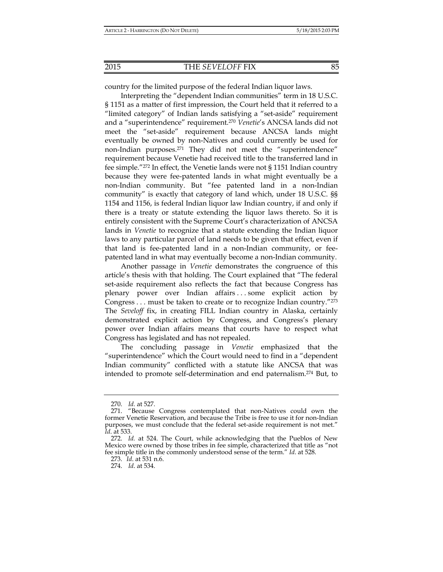country for the limited purpose of the federal Indian liquor laws.

Interpreting the "dependent Indian communities" term in 18 U.S.C. § 1151 as a matter of first impression, the Court held that it referred to a "limited category" of Indian lands satisfying a "set-aside" requirement and a "superintendence" requirement.270 *Venetie*'s ANCSA lands did not meet the "set-aside" requirement because ANCSA lands might eventually be owned by non-Natives and could currently be used for non-Indian purposes.271 They did not meet the "superintendence" requirement because Venetie had received title to the transferred land in fee simple."272 In effect, the Venetie lands were not § 1151 Indian country because they were fee-patented lands in what might eventually be a non-Indian community. But "fee patented land in a non-Indian community" is exactly that category of land which, under 18 U.S.C. §§ 1154 and 1156, is federal Indian liquor law Indian country, if and only if there is a treaty or statute extending the liquor laws thereto. So it is entirely consistent with the Supreme Court's characterization of ANCSA lands in *Venetie* to recognize that a statute extending the Indian liquor laws to any particular parcel of land needs to be given that effect, even if that land is fee-patented land in a non-Indian community, or feepatented land in what may eventually become a non-Indian community.

Another passage in *Venetie* demonstrates the congruence of this article's thesis with that holding. The Court explained that "The federal set-aside requirement also reflects the fact that because Congress has plenary power over Indian affairs . . . some explicit action by Congress . . . must be taken to create or to recognize Indian country."273 The *Seveloff* fix, in creating FILL Indian country in Alaska, certainly demonstrated explicit action by Congress, and Congress's plenary power over Indian affairs means that courts have to respect what Congress has legislated and has not repealed.

The concluding passage in *Venetie* emphasized that the "superintendence" which the Court would need to find in a "dependent Indian community" conflicted with a statute like ANCSA that was intended to promote self-determination and end paternalism.274 But, to

 <sup>270.</sup> *Id.* at 527.

 <sup>271. &</sup>quot;Because Congress contemplated that non-Natives could own the former Venetie Reservation, and because the Tribe is free to use it for non-Indian purposes, we must conclude that the federal set-aside requirement is not met." *Id*. at 533.

 <sup>272.</sup> *Id.* at 524. The Court, while acknowledging that the Pueblos of New Mexico were owned by those tribes in fee simple, characterized that title as "not fee simple title in the commonly understood sense of the term." *Id*. at 528.

 <sup>273.</sup> *Id*. at 531 n.6.

 <sup>274.</sup> *Id*. at 534.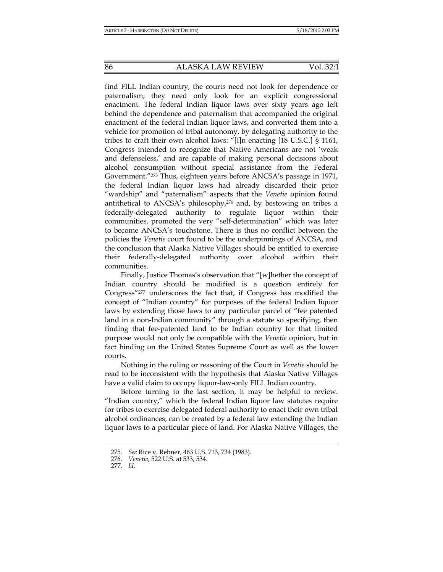find FILL Indian country, the courts need not look for dependence or paternalism; they need only look for an explicit congressional enactment. The federal Indian liquor laws over sixty years ago left behind the dependence and paternalism that accompanied the original enactment of the federal Indian liquor laws, and converted them into a vehicle for promotion of tribal autonomy, by delegating authority to the tribes to craft their own alcohol laws: "[I]n enacting [18 U.S.C.] § 1161, Congress intended to recognize that Native Americans are not 'weak and defenseless,' and are capable of making personal decisions about alcohol consumption without special assistance from the Federal Government."275 Thus, eighteen years before ANCSA's passage in 1971, the federal Indian liquor laws had already discarded their prior "wardship" and "paternalism" aspects that the *Venetie* opinion found antithetical to ANCSA's philosophy,276 and, by bestowing on tribes a federally-delegated authority to regulate liquor within their communities, promoted the very "self-determination" which was later to become ANCSA's touchstone. There is thus no conflict between the policies the *Venetie* court found to be the underpinnings of ANCSA, and the conclusion that Alaska Native Villages should be entitled to exercise their federally-delegated authority over alcohol within their communities.

Finally, Justice Thomas's observation that "[w]hether the concept of Indian country should be modified is a question entirely for Congress"277 underscores the fact that, if Congress has modified the concept of "Indian country" for purposes of the federal Indian liquor laws by extending those laws to any particular parcel of "fee patented land in a non-Indian community" through a statute so specifying, then finding that fee-patented land to be Indian country for that limited purpose would not only be compatible with the *Venetie* opinion, but in fact binding on the United States Supreme Court as well as the lower courts.

Nothing in the ruling or reasoning of the Court in *Venetie* should be read to be inconsistent with the hypothesis that Alaska Native Villages have a valid claim to occupy liquor-law-only FILL Indian country.

Before turning to the last section, it may be helpful to review. "Indian country," which the federal Indian liquor law statutes require for tribes to exercise delegated federal authority to enact their own tribal alcohol ordinances, can be created by a federal law extending the Indian liquor laws to a particular piece of land. For Alaska Native Villages, the

 <sup>275.</sup> *See* Rice v. Rehner, 463 U.S. 713, 734 (1983).

 <sup>276.</sup> *Venetie*, 522 U.S. at 533, 534.

 <sup>277.</sup> *Id*.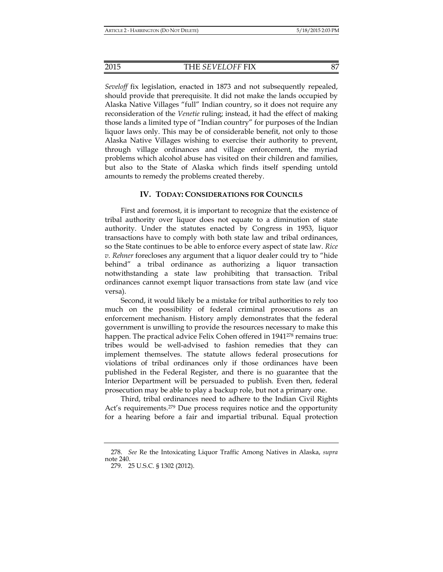*Seveloff* fix legislation, enacted in 1873 and not subsequently repealed, should provide that prerequisite. It did not make the lands occupied by Alaska Native Villages "full" Indian country, so it does not require any reconsideration of the *Venetie* ruling; instead, it had the effect of making those lands a limited type of "Indian country" for purposes of the Indian liquor laws only. This may be of considerable benefit, not only to those Alaska Native Villages wishing to exercise their authority to prevent, through village ordinances and village enforcement, the myriad problems which alcohol abuse has visited on their children and families, but also to the State of Alaska which finds itself spending untold amounts to remedy the problems created thereby.

#### **IV. TODAY: CONSIDERATIONS FOR COUNCILS**

First and foremost, it is important to recognize that the existence of tribal authority over liquor does not equate to a diminution of state authority. Under the statutes enacted by Congress in 1953, liquor transactions have to comply with both state law and tribal ordinances, so the State continues to be able to enforce every aspect of state law. *Rice v. Rehner* forecloses any argument that a liquor dealer could try to "hide behind" a tribal ordinance as authorizing a liquor transaction notwithstanding a state law prohibiting that transaction. Tribal ordinances cannot exempt liquor transactions from state law (and vice versa).

Second, it would likely be a mistake for tribal authorities to rely too much on the possibility of federal criminal prosecutions as an enforcement mechanism. History amply demonstrates that the federal government is unwilling to provide the resources necessary to make this happen. The practical advice Felix Cohen offered in 1941<sup>278</sup> remains true: tribes would be well-advised to fashion remedies that they can implement themselves. The statute allows federal prosecutions for violations of tribal ordinances only if those ordinances have been published in the Federal Register, and there is no guarantee that the Interior Department will be persuaded to publish. Even then, federal prosecution may be able to play a backup role, but not a primary one.

Third, tribal ordinances need to adhere to the Indian Civil Rights Act's requirements.279 Due process requires notice and the opportunity for a hearing before a fair and impartial tribunal. Equal protection

 <sup>278.</sup> *See* Re the Intoxicating Liquor Traffic Among Natives in Alaska, *supra* note 240. 279. 25 U.S.C. § 1302 (2012).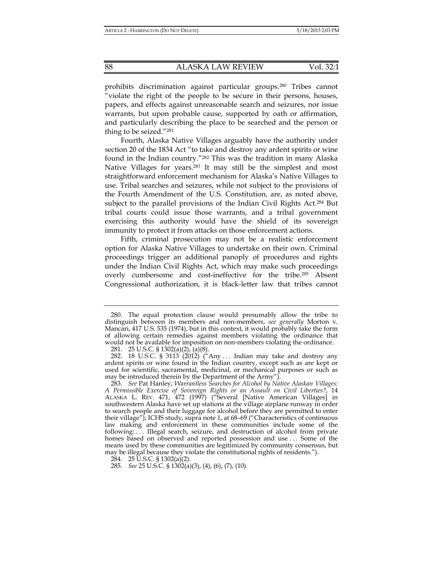prohibits discrimination against particular groups.280 Tribes cannot "violate the right of the people to be secure in their persons, houses, papers, and effects against unreasonable search and seizures, nor issue warrants, but upon probable cause, supported by oath or affirmation, and particularly describing the place to be searched and the person or thing to be seized."281

Fourth, Alaska Native Villages arguably have the authority under section 20 of the 1834 Act "to take and destroy any ardent spirits or wine found in the Indian country."282 This was the tradition in many Alaska Native Villages for years.283 It may still be the simplest and most straightforward enforcement mechanism for Alaska's Native Villages to use. Tribal searches and seizures, while not subject to the provisions of the Fourth Amendment of the U.S. Constitution, are, as noted above, subject to the parallel provisions of the Indian Civil Rights Act.284 But tribal courts could issue those warrants, and a tribal government exercising this authority would have the shield of its sovereign immunity to protect it from attacks on those enforcement actions.

 Fifth, criminal prosecution may not be a realistic enforcement option for Alaska Native Villages to undertake on their own. Criminal proceedings trigger an additional panoply of procedures and rights under the Indian Civil Rights Act, which may make such proceedings overly cumbersome and cost-ineffective for the tribe.285 Absent Congressional authorization, it is black-letter law that tribes cannot

 <sup>280.</sup> The equal protection clause would presumably allow the tribe to distinguish between its members and non-members, *see generally* Morton v. Mancari, 417 U.S. 535 (1974), but in this context, it would probably take the form of allowing certain remedies against members violating the ordinance that would not be available for imposition on non-members violating the ordinance.

 <sup>281. 25</sup> U.S.C. § 1302(a)(2), (a)(8).

<sup>282. 18</sup> U.S.C. § 3113 (2012) ("Any ... Indian may take and destroy any ardent spirits or wine found in the Indian country, except such as are kept or used for scientific, sacramental, medicinal, or mechanical purposes or such as may be introduced therein by the Department of the Army").

 <sup>283.</sup> *See* Pat Hanley, *Warrantless Searches for Alcohol by Native Alaskan Villages: A Permissible Exercise of Sovereign Rights or an Assault on Civil Liberties?*, 14 ALASKA L. REV. 471, 472 (1997) ("Several [Native American Villages] in southwestern Alaska have set up stations at the village airplane runway in order to search people and their luggage for alcohol before they are permitted to enter their village"); ICHS study, supra note 1, at 68–69 ("Characteristics of continuous law making and enforcement in these communities include some of the following: . . . Illegal search, seizure, and destruction of alcohol from private homes based on observed and reported possession and use ... Some of the means used by these communities are legitimized by community consensus, but may be illegal because they violate the constitutional rights of residents.").

<sup>284. 25</sup> U.S.C. §  $1302(a)(2)$ .

 <sup>285.</sup> *See* 25 U.S.C. § 1302(a)(3), (4), (6), (7), (10).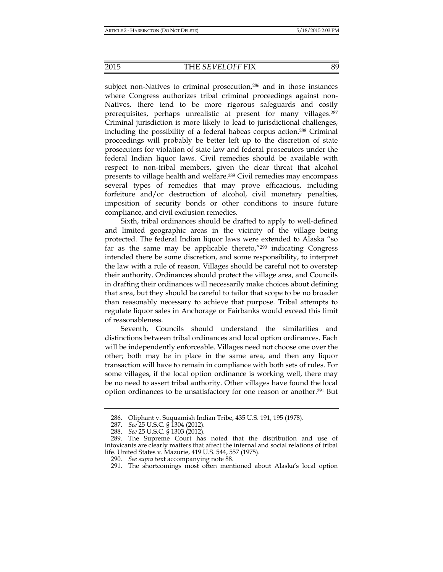#### 2015 THE *SEVELOFF* FIX 89

subject non-Natives to criminal prosecution,<sup>286</sup> and in those instances where Congress authorizes tribal criminal proceedings against non-Natives, there tend to be more rigorous safeguards and costly prerequisites, perhaps unrealistic at present for many villages.287 Criminal jurisdiction is more likely to lead to jurisdictional challenges, including the possibility of a federal habeas corpus action.288 Criminal proceedings will probably be better left up to the discretion of state prosecutors for violation of state law and federal prosecutors under the federal Indian liquor laws. Civil remedies should be available with respect to non-tribal members, given the clear threat that alcohol presents to village health and welfare.289 Civil remedies may encompass several types of remedies that may prove efficacious, including forfeiture and/or destruction of alcohol, civil monetary penalties, imposition of security bonds or other conditions to insure future compliance, and civil exclusion remedies.

Sixth, tribal ordinances should be drafted to apply to well-defined and limited geographic areas in the vicinity of the village being protected. The federal Indian liquor laws were extended to Alaska "so far as the same may be applicable thereto,"290 indicating Congress intended there be some discretion, and some responsibility, to interpret the law with a rule of reason. Villages should be careful not to overstep their authority. Ordinances should protect the village area, and Councils in drafting their ordinances will necessarily make choices about defining that area, but they should be careful to tailor that scope to be no broader than reasonably necessary to achieve that purpose. Tribal attempts to regulate liquor sales in Anchorage or Fairbanks would exceed this limit of reasonableness.

Seventh, Councils should understand the similarities and distinctions between tribal ordinances and local option ordinances. Each will be independently enforceable. Villages need not choose one over the other; both may be in place in the same area, and then any liquor transaction will have to remain in compliance with both sets of rules. For some villages, if the local option ordinance is working well, there may be no need to assert tribal authority. Other villages have found the local option ordinances to be unsatisfactory for one reason or another.<sup>291</sup> But

 <sup>286.</sup> Oliphant v. Suquamish Indian Tribe, 435 U.S. 191, 195 (1978).

 <sup>287.</sup> *See* 25 U.S.C. § 1304 (2012).

 <sup>288.</sup> *See* 25 U.S.C. § 1303 (2012).

 <sup>289.</sup> The Supreme Court has noted that the distribution and use of intoxicants are clearly matters that affect the internal and social relations of tribal life. United States v. Mazurie, 419 U.S. 544, 557 (1975).

 <sup>290.</sup> *See supra* text accompanying note 88.

 <sup>291.</sup> The shortcomings most often mentioned about Alaska's local option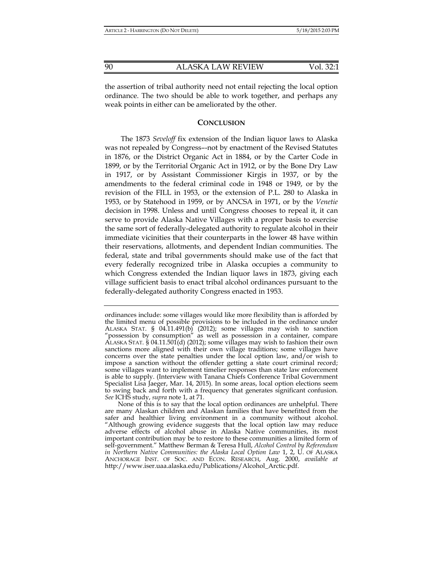the assertion of tribal authority need not entail rejecting the local option ordinance. The two should be able to work together, and perhaps any weak points in either can be ameliorated by the other.

#### **CONCLUSION**

The 1873 *Seveloff* fix extension of the Indian liquor laws to Alaska was not repealed by Congress–-not by enactment of the Revised Statutes in 1876, or the District Organic Act in 1884, or by the Carter Code in 1899, or by the Territorial Organic Act in 1912, or by the Bone Dry Law in 1917, or by Assistant Commissioner Kirgis in 1937, or by the amendments to the federal criminal code in 1948 or 1949, or by the revision of the FILL in 1953, or the extension of P.L. 280 to Alaska in 1953, or by Statehood in 1959, or by ANCSA in 1971, or by the *Venetie* decision in 1998. Unless and until Congress chooses to repeal it, it can serve to provide Alaska Native Villages with a proper basis to exercise the same sort of federally-delegated authority to regulate alcohol in their immediate vicinities that their counterparts in the lower 48 have within their reservations, allotments, and dependent Indian communities. The federal, state and tribal governments should make use of the fact that every federally recognized tribe in Alaska occupies a community to which Congress extended the Indian liquor laws in 1873, giving each village sufficient basis to enact tribal alcohol ordinances pursuant to the federally-delegated authority Congress enacted in 1953.

ordinances include: some villages would like more flexibility than is afforded by the limited menu of possible provisions to be included in the ordinance under ALASKA STAT. § 04.11.491(b) (2012); some villages may wish to sanction "possession by consumption" as well as possession in a container, compare ALASKA STAT. § 04.11.501(d) (2012); some villages may wish to fashion their own sanctions more aligned with their own village traditions; some villages have concerns over the state penalties under the local option law, and/or wish to impose a sanction without the offender getting a state court criminal record; some villages want to implement timelier responses than state law enforcement is able to supply. (Interview with Tanana Chiefs Conference Tribal Government Specialist Lisa Jaeger, Mar. 14, 2015). In some areas, local option elections seem to swing back and forth with a frequency that generates significant confusion. *See* ICHS study, *supra* note 1, at 71.

None of this is to say that the local option ordinances are unhelpful. There are many Alaskan children and Alaskan families that have benefitted from the safer and healthier living environment in a community without alcohol. "Although growing evidence suggests that the local option law may reduce adverse effects of alcohol abuse in Alaska Native communities, its most important contribution may be to restore to these communities a limited form of self-government." Matthew Berman & Teresa Hull, *Alcohol Control by Referendum in Northern Native Communities: the Alaska Local Option Law* 1, 2, U. OF ALASKA ANCHORAGE INST. OF SOC. AND ECON. RESEARCH, Aug. 2000, *available at* http://www.iser.uaa.alaska.edu/Publications/Alcohol\_Arctic.pdf.